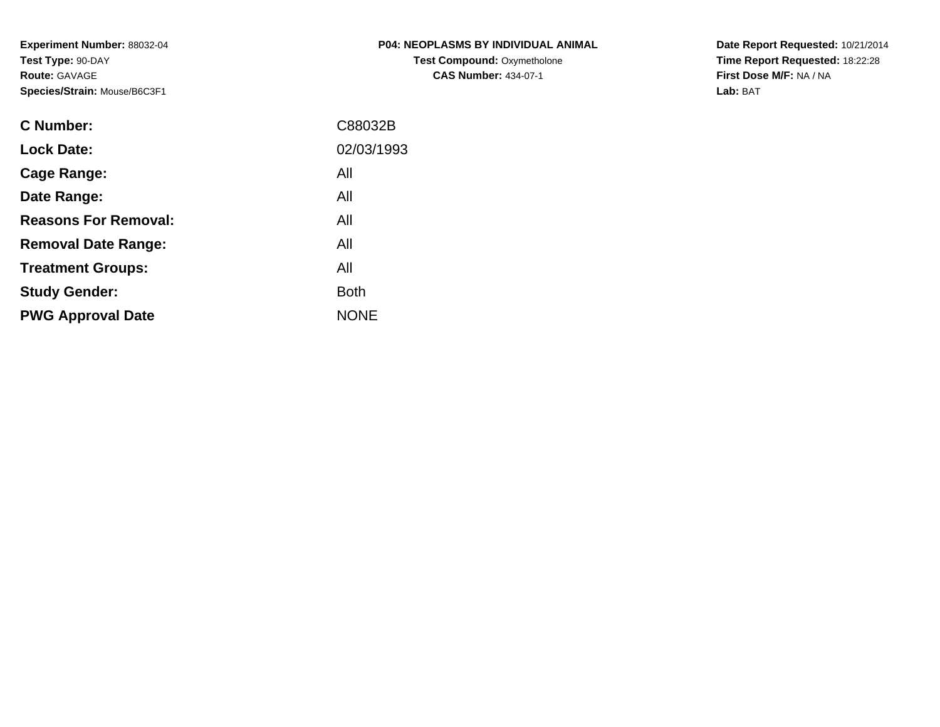**Experiment Number:** 88032-04**Test Type:** 90-DAY**Route:** GAVAGE**Species/Strain:** Mouse/B6C3F1

| <b>P04: NEOPLASMS BY INDIVIDUAL ANIMAL</b> |
|--------------------------------------------|
| <b>Test Compound: Oxymetholone</b>         |
| <b>CAS Number: 434-07-1</b>                |

**Date Report Requested:** 10/21/2014 **Time Report Requested:** 18:22:28**First Dose M/F:** NA / NA**Lab:** BAT

| C88032B     |
|-------------|
| 02/03/1993  |
| All         |
| All         |
| All         |
| All         |
| All         |
| <b>Both</b> |
| <b>NONE</b> |
|             |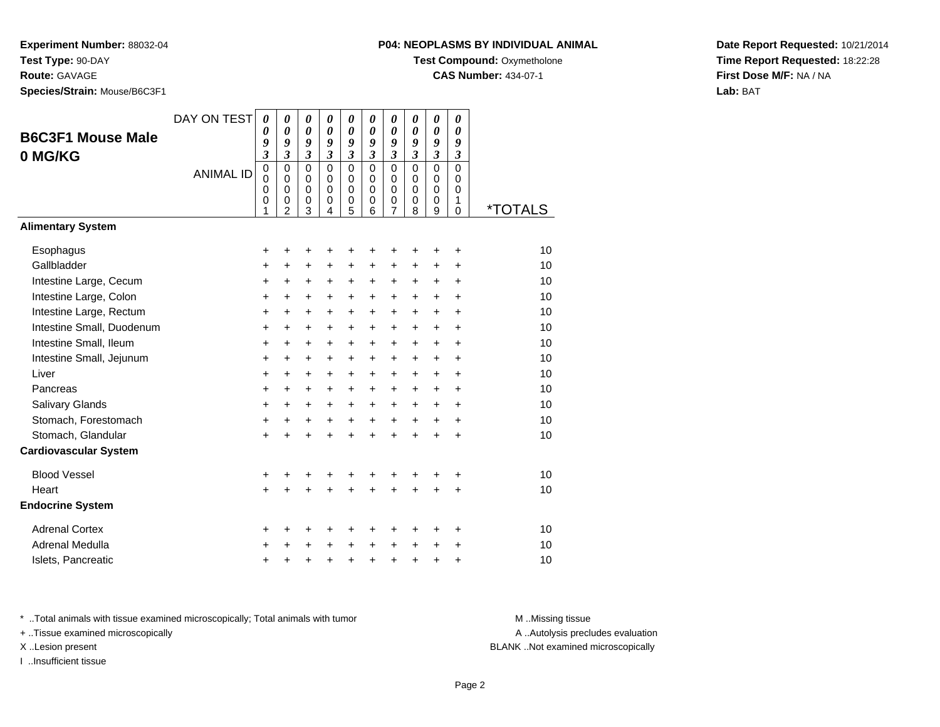**Route:** GAVAGE

**Species/Strain:** Mouse/B6C3F1

### **P04: NEOPLASMS BY INDIVIDUAL ANIMAL**

**Test Compound:** Oxymetholone

**CAS Number:** 434-07-1

**Date Report Requested:** 10/21/2014**Time Report Requested:** 18:22:28**First Dose M/F:** NA / NA**Lab:** BAT

| <b>B6C3F1 Mouse Male</b><br>0 MG/KG                                                                                                                                                                                                                        | DAY ON TEST<br><b>ANIMAL ID</b> | $\boldsymbol{\theta}$<br>0<br>9<br>$\overline{\mathbf{3}}$<br>$\mathbf 0$<br>0<br>0<br>0<br>1 | $\boldsymbol{\theta}$<br>$\boldsymbol{\theta}$<br>9<br>$\mathfrak{z}$<br>$\Omega$<br>$\mathbf 0$<br>0<br>0<br>$\overline{2}$ | 0<br>$\boldsymbol{\theta}$<br>9<br>$\boldsymbol{\beta}$<br>$\mathbf 0$<br>$\mathbf 0$<br>0<br>0<br>3                        | 0<br>0<br>9<br>$\mathfrak{z}$<br>$\Omega$<br>$\mathbf 0$<br>$\mathbf 0$<br>$\mathbf 0$<br>4                         | 0<br>0<br>9<br>$\mathfrak{z}$<br>$\mathbf 0$<br>$\mathbf 0$<br>$\mathbf 0$<br>$\boldsymbol{0}$<br>5 | 0<br>0<br>9<br>$\mathfrak{z}$<br>$\Omega$<br>$\mathbf 0$<br>0<br>0<br>6                                                     | 0<br>$\boldsymbol{\theta}$<br>9<br>$\mathfrak{z}$<br>$\mathbf 0$<br>$\mathbf 0$<br>$\mathbf 0$<br>0<br>$\overline{7}$ | 0<br>0<br>9<br>$\mathfrak{z}$<br>$\mathbf 0$<br>$\mathbf 0$<br>0<br>0<br>8                                           | 0<br>$\boldsymbol{\theta}$<br>9<br>$\mathfrak{z}$<br>$\mathbf 0$<br>$\mathbf 0$<br>0<br>0<br>9           | 0<br>$\boldsymbol{\theta}$<br>9<br>$\boldsymbol{\mathfrak{z}}$<br>$\overline{0}$<br>$\mathbf 0$<br>0<br>1<br>$\mathbf 0$ | <i><b>*TOTALS</b></i>                                                |
|------------------------------------------------------------------------------------------------------------------------------------------------------------------------------------------------------------------------------------------------------------|---------------------------------|-----------------------------------------------------------------------------------------------|------------------------------------------------------------------------------------------------------------------------------|-----------------------------------------------------------------------------------------------------------------------------|---------------------------------------------------------------------------------------------------------------------|-----------------------------------------------------------------------------------------------------|-----------------------------------------------------------------------------------------------------------------------------|-----------------------------------------------------------------------------------------------------------------------|----------------------------------------------------------------------------------------------------------------------|----------------------------------------------------------------------------------------------------------|--------------------------------------------------------------------------------------------------------------------------|----------------------------------------------------------------------|
| <b>Alimentary System</b>                                                                                                                                                                                                                                   |                                 |                                                                                               |                                                                                                                              |                                                                                                                             |                                                                                                                     |                                                                                                     |                                                                                                                             |                                                                                                                       |                                                                                                                      |                                                                                                          |                                                                                                                          |                                                                      |
| Esophagus<br>Gallbladder<br>Intestine Large, Cecum<br>Intestine Large, Colon<br>Intestine Large, Rectum<br>Intestine Small, Duodenum<br>Intestine Small, Ileum<br>Intestine Small, Jejunum<br>Liver<br>Pancreas<br>Salivary Glands<br>Stomach, Forestomach |                                 | +<br>$\ddot{}$<br>+<br>+<br>+<br>+<br>$\ddot{}$<br>$\ddot{}$<br>+<br>$\ddot{}$<br>+           | +<br>$\ddot{}$<br>+<br>$\ddot{}$<br>$\ddot{}$<br>$\ddot{}$<br>$\ddot{}$<br>$\ddot{}$<br>$\ddot{}$<br>$\ddot{}$<br>$\ddot{}$  | +<br>$\ddot{}$<br>+<br>$\ddot{}$<br>$\ddot{}$<br>$\ddot{}$<br>$\ddot{}$<br>$\ddot{}$<br>$\ddot{}$<br>$\ddot{}$<br>$\ddot{}$ | +<br>+<br>$\ddot{}$<br>$\ddot{}$<br>$\ddot{}$<br>+<br>$\ddot{}$<br>$\ddot{}$<br>$\ddot{}$<br>$\ddot{}$<br>$\ddot{}$ | +<br>+<br>+<br>+<br>+<br>+<br>+<br>$\ddot{}$<br>+<br>$\ddot{}$<br>$\ddot{}$                         | +<br>$\ddot{}$<br>+<br>$\ddot{}$<br>$\ddot{}$<br>$\ddot{}$<br>$\ddot{}$<br>$\ddot{}$<br>$\ddot{}$<br>$\ddot{}$<br>$\ddot{}$ | +<br>+<br>+<br>+<br>+<br>$\ddot{}$<br>$\ddot{}$<br>$\ddot{}$<br>$\ddot{}$<br>$\ddot{}$<br>$\ddot{}$<br>$\ddot{}$      | +<br>+<br>+<br>$\ddot{}$<br>$\ddot{}$<br>$\ddot{}$<br>$\ddot{}$<br>$\ddot{}$<br>$\ddot{}$<br>$+$<br>$+$<br>$\ddot{}$ | +<br>$\pm$<br>$\ddot{}$<br>$\ddot{}$<br>$\ddot{}$<br>$\ddot{}$<br>$+$<br>$+$<br>$+$<br>$+$<br>$+$<br>$+$ | +<br>÷<br>$\ddot{}$<br>$\ddot{}$<br>+<br>$\ddot{}$<br>$\ddot{}$<br>$\ddot{}$<br>÷<br>÷<br>$\ddot{}$<br>$\ddot{}$         | 10<br>10<br>10<br>10<br>10<br>10<br>10<br>10<br>10<br>10<br>10<br>10 |
| Stomach, Glandular                                                                                                                                                                                                                                         |                                 | +<br>+                                                                                        | $\ddot{}$<br>÷                                                                                                               | $\ddot{}$<br>$\ddot{}$                                                                                                      | +<br>$\ddot{}$                                                                                                      | +<br>$\ddot{}$                                                                                      | $\ddot{}$<br>$\ddot{}$                                                                                                      | $\ddot{}$                                                                                                             | $\ddot{}$                                                                                                            | $\ddot{}$                                                                                                | $\ddot{}$                                                                                                                | 10                                                                   |
| <b>Cardiovascular System</b>                                                                                                                                                                                                                               |                                 |                                                                                               |                                                                                                                              |                                                                                                                             |                                                                                                                     |                                                                                                     |                                                                                                                             |                                                                                                                       |                                                                                                                      |                                                                                                          |                                                                                                                          |                                                                      |
| <b>Blood Vessel</b><br>Heart<br><b>Endocrine System</b>                                                                                                                                                                                                    |                                 | +<br>$\ddot{}$                                                                                | +                                                                                                                            | +                                                                                                                           | +                                                                                                                   | +                                                                                                   | +                                                                                                                           | +<br>$\ddot{}$                                                                                                        |                                                                                                                      | +                                                                                                        | +<br>$\ddot{}$                                                                                                           | 10<br>10                                                             |
|                                                                                                                                                                                                                                                            |                                 |                                                                                               |                                                                                                                              |                                                                                                                             |                                                                                                                     |                                                                                                     |                                                                                                                             |                                                                                                                       |                                                                                                                      |                                                                                                          |                                                                                                                          |                                                                      |
| <b>Adrenal Cortex</b><br><b>Adrenal Medulla</b><br>Islets, Pancreatic                                                                                                                                                                                      |                                 | +<br>+<br>+                                                                                   | +<br>+                                                                                                                       | +<br>+<br>+                                                                                                                 | +<br>+                                                                                                              | +<br>+<br>+                                                                                         | +<br>$\ddot{}$<br>+                                                                                                         | +<br>+<br>+                                                                                                           | ٠<br>$\ddot{}$<br>+                                                                                                  | +<br>+<br>+                                                                                              | +<br>+<br>+                                                                                                              | 10<br>10<br>10                                                       |

\* ..Total animals with tissue examined microscopically; Total animals with tumor **M** . Missing tissue M ..Missing tissue

+ ..Tissue examined microscopically

I ..Insufficient tissue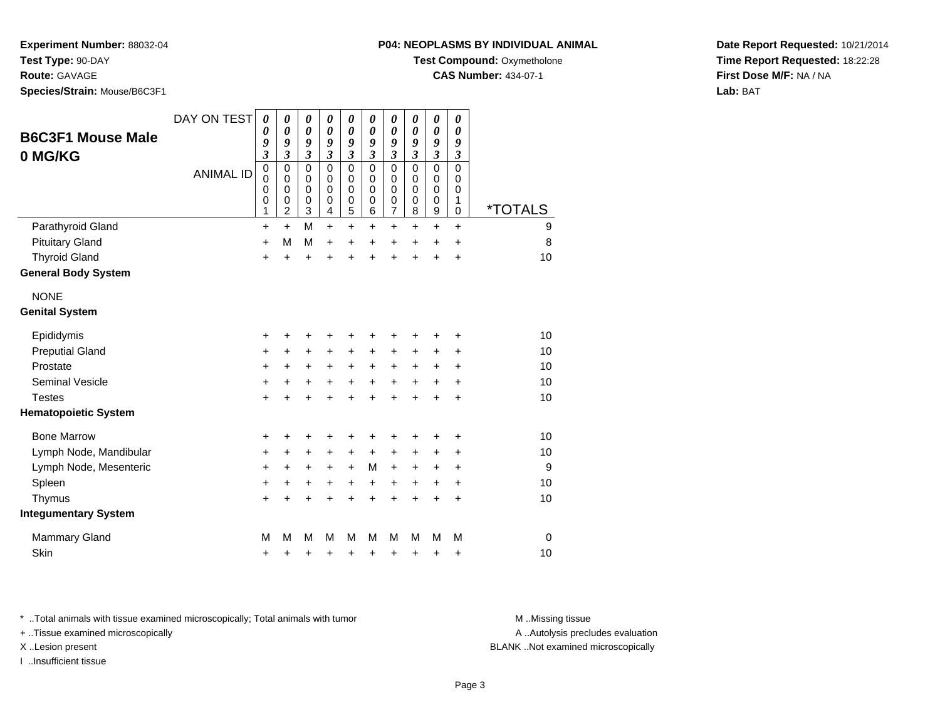**Experiment Number:** 88032-04

**Test Type:** 90-DAY

**Route:** GAVAGE

**Species/Strain:** Mouse/B6C3F1

**Test Compound:** Oxymetholone

**CAS Number:** 434-07-1

**Date Report Requested:** 10/21/2014**Time Report Requested:** 18:22:28**First Dose M/F:** NA / NA**Lab:** BAT

| <b>B6C3F1 Mouse Male</b><br>0 MG/KG | DAY ON TEST<br><b>ANIMAL ID</b> | 0<br>0<br>9<br>$\overline{\mathbf{3}}$<br>$\mathbf 0$<br>$\mathbf 0$<br>0<br>0<br>1 | 0<br>$\boldsymbol{\theta}$<br>9<br>$\mathfrak{z}$<br>$\mathbf 0$<br>$\mathbf 0$<br>$\mathbf 0$<br>$\mathbf 0$<br>$\overline{2}$ | 0<br>$\boldsymbol{\theta}$<br>9<br>$\mathfrak{z}$<br>$\mathbf 0$<br>$\mathbf 0$<br>$\mathbf 0$<br>$\mathbf 0$<br>3 | 0<br>$\boldsymbol{\theta}$<br>9<br>$\overline{\mathbf{3}}$<br>$\mathbf 0$<br>$\mathbf 0$<br>$\Omega$<br>0<br>4 | 0<br>$\boldsymbol{\theta}$<br>9<br>$\mathfrak{z}$<br>$\mathbf 0$<br>$\mathbf 0$<br>$\mathbf 0$<br>$\pmb{0}$<br>$\overline{5}$ | 0<br>$\boldsymbol{\theta}$<br>9<br>$\mathfrak{z}$<br>$\Omega$<br>$\Omega$<br>$\Omega$<br>0<br>6 | 0<br>$\boldsymbol{\theta}$<br>9<br>$\mathfrak{z}$<br>$\mathbf 0$<br>$\mathbf 0$<br>$\mathbf 0$<br>0<br>7 | 0<br>0<br>9<br>$\overline{\mathbf{3}}$<br>$\mathbf 0$<br>$\mathbf 0$<br>$\mathbf 0$<br>0<br>8 | $\pmb{\theta}$<br>$\boldsymbol{\theta}$<br>9<br>$\mathfrak{z}$<br>$\overline{0}$<br>$\mathbf 0$<br>0<br>0<br>$\boldsymbol{9}$ | 0<br>0<br>9<br>$\boldsymbol{\mathfrak{z}}$<br>$\overline{0}$<br>$\mathbf 0$<br>$\mathbf 0$<br>1<br>0 | <i><b>*TOTALS</b></i> |
|-------------------------------------|---------------------------------|-------------------------------------------------------------------------------------|---------------------------------------------------------------------------------------------------------------------------------|--------------------------------------------------------------------------------------------------------------------|----------------------------------------------------------------------------------------------------------------|-------------------------------------------------------------------------------------------------------------------------------|-------------------------------------------------------------------------------------------------|----------------------------------------------------------------------------------------------------------|-----------------------------------------------------------------------------------------------|-------------------------------------------------------------------------------------------------------------------------------|------------------------------------------------------------------------------------------------------|-----------------------|
| Parathyroid Gland                   |                                 | $\ddot{}$                                                                           | $+$                                                                                                                             | M                                                                                                                  | $\ddot{}$                                                                                                      | $\ddot{}$                                                                                                                     | $\ddot{}$                                                                                       | $\ddot{}$                                                                                                | $\ddot{}$                                                                                     | $+$                                                                                                                           | $\ddot{}$                                                                                            | 9                     |
| <b>Pituitary Gland</b>              |                                 | $\ddot{}$                                                                           | М                                                                                                                               | М                                                                                                                  | $\ddot{}$                                                                                                      | +                                                                                                                             | $\ddot{}$                                                                                       | $\ddot{}$                                                                                                | +                                                                                             | $\ddot{}$                                                                                                                     | +                                                                                                    | 8                     |
| <b>Thyroid Gland</b>                |                                 | $\ddot{}$                                                                           | $\ddot{}$                                                                                                                       | $\ddot{}$                                                                                                          | Ŧ.                                                                                                             | $\ddot{}$                                                                                                                     | $\ddot{}$                                                                                       | $\ddot{}$                                                                                                | $\ddot{}$                                                                                     | $\ddot{}$                                                                                                                     | $\ddot{}$                                                                                            | 10                    |
| <b>General Body System</b>          |                                 |                                                                                     |                                                                                                                                 |                                                                                                                    |                                                                                                                |                                                                                                                               |                                                                                                 |                                                                                                          |                                                                                               |                                                                                                                               |                                                                                                      |                       |
| <b>NONE</b>                         |                                 |                                                                                     |                                                                                                                                 |                                                                                                                    |                                                                                                                |                                                                                                                               |                                                                                                 |                                                                                                          |                                                                                               |                                                                                                                               |                                                                                                      |                       |
| <b>Genital System</b>               |                                 |                                                                                     |                                                                                                                                 |                                                                                                                    |                                                                                                                |                                                                                                                               |                                                                                                 |                                                                                                          |                                                                                               |                                                                                                                               |                                                                                                      |                       |
| Epididymis                          |                                 | $\ddot{}$                                                                           |                                                                                                                                 | +                                                                                                                  | +                                                                                                              | +                                                                                                                             | +                                                                                               | +                                                                                                        | +                                                                                             | +                                                                                                                             | +                                                                                                    | 10                    |
| <b>Preputial Gland</b>              |                                 | +                                                                                   | $\ddot{}$                                                                                                                       | +                                                                                                                  | +                                                                                                              | +                                                                                                                             | +                                                                                               | +                                                                                                        | $\pm$                                                                                         | +                                                                                                                             | ٠                                                                                                    | 10                    |
| Prostate                            |                                 | +                                                                                   | +                                                                                                                               | $\ddot{}$                                                                                                          | $\pm$                                                                                                          | $\ddot{}$                                                                                                                     | $\ddot{}$                                                                                       | $\ddot{}$                                                                                                | $\pm$                                                                                         | $\pm$                                                                                                                         | +                                                                                                    | 10                    |
| <b>Seminal Vesicle</b>              |                                 | +                                                                                   | +                                                                                                                               | +                                                                                                                  | +                                                                                                              | +                                                                                                                             | $\ddot{}$                                                                                       | +                                                                                                        | +                                                                                             | +                                                                                                                             | +                                                                                                    | 10                    |
| <b>Testes</b>                       |                                 | $\ddot{}$                                                                           |                                                                                                                                 | ÷                                                                                                                  | $\ddot{}$                                                                                                      | $\ddot{}$                                                                                                                     | $\ddot{}$                                                                                       | $\ddot{}$                                                                                                | $\ddot{}$                                                                                     | $\ddot{}$                                                                                                                     | $\ddot{}$                                                                                            | 10                    |
| <b>Hematopoietic System</b>         |                                 |                                                                                     |                                                                                                                                 |                                                                                                                    |                                                                                                                |                                                                                                                               |                                                                                                 |                                                                                                          |                                                                                               |                                                                                                                               |                                                                                                      |                       |
| <b>Bone Marrow</b>                  |                                 | +                                                                                   |                                                                                                                                 | +                                                                                                                  | +                                                                                                              | +                                                                                                                             | +                                                                                               | +                                                                                                        | +                                                                                             | ٠                                                                                                                             | +                                                                                                    | 10                    |
| Lymph Node, Mandibular              |                                 | $\ddot{}$                                                                           | +                                                                                                                               | $\ddot{}$                                                                                                          | $\ddot{}$                                                                                                      | $\ddot{}$                                                                                                                     | $\ddot{}$                                                                                       | $\ddot{}$                                                                                                | $\ddot{}$                                                                                     | $\ddot{}$                                                                                                                     | +                                                                                                    | 10                    |
| Lymph Node, Mesenteric              |                                 | +                                                                                   | +                                                                                                                               | +                                                                                                                  | +                                                                                                              | $\ddot{}$                                                                                                                     | М                                                                                               | $\ddot{}$                                                                                                | $\ddot{}$                                                                                     | +                                                                                                                             | +                                                                                                    | 9                     |
| Spleen                              |                                 | $\ddot{}$                                                                           | +                                                                                                                               | +                                                                                                                  | +                                                                                                              | +                                                                                                                             | $\ddot{}$                                                                                       | $\ddot{}$                                                                                                | $\ddot{}$                                                                                     | $\pm$                                                                                                                         | $\ddot{}$                                                                                            | 10                    |
| Thymus                              |                                 | $\ddot{}$                                                                           |                                                                                                                                 | $\ddot{}$                                                                                                          | Ŧ.                                                                                                             | $\ddot{}$                                                                                                                     | $\ddot{}$                                                                                       | $\ddot{}$                                                                                                | $\ddot{}$                                                                                     | $\ddot{}$                                                                                                                     | $\ddot{}$                                                                                            | 10                    |
| <b>Integumentary System</b>         |                                 |                                                                                     |                                                                                                                                 |                                                                                                                    |                                                                                                                |                                                                                                                               |                                                                                                 |                                                                                                          |                                                                                               |                                                                                                                               |                                                                                                      |                       |
| Mammary Gland                       |                                 | M                                                                                   | м                                                                                                                               | M                                                                                                                  | M                                                                                                              | M                                                                                                                             | м                                                                                               | М                                                                                                        | м                                                                                             | М                                                                                                                             | M                                                                                                    | 0                     |
| Skin                                |                                 | +                                                                                   | +                                                                                                                               | +                                                                                                                  | +                                                                                                              | +                                                                                                                             | +                                                                                               | +                                                                                                        | +                                                                                             | +                                                                                                                             | +                                                                                                    | 10                    |

\* ..Total animals with tissue examined microscopically; Total animals with tumor **M** . Missing tissue M ..Missing tissue

+ ..Tissue examined microscopically

I ..Insufficient tissue

A ..Autolysis precludes evaluation

X ..Lesion present BLANK ..Not examined microscopically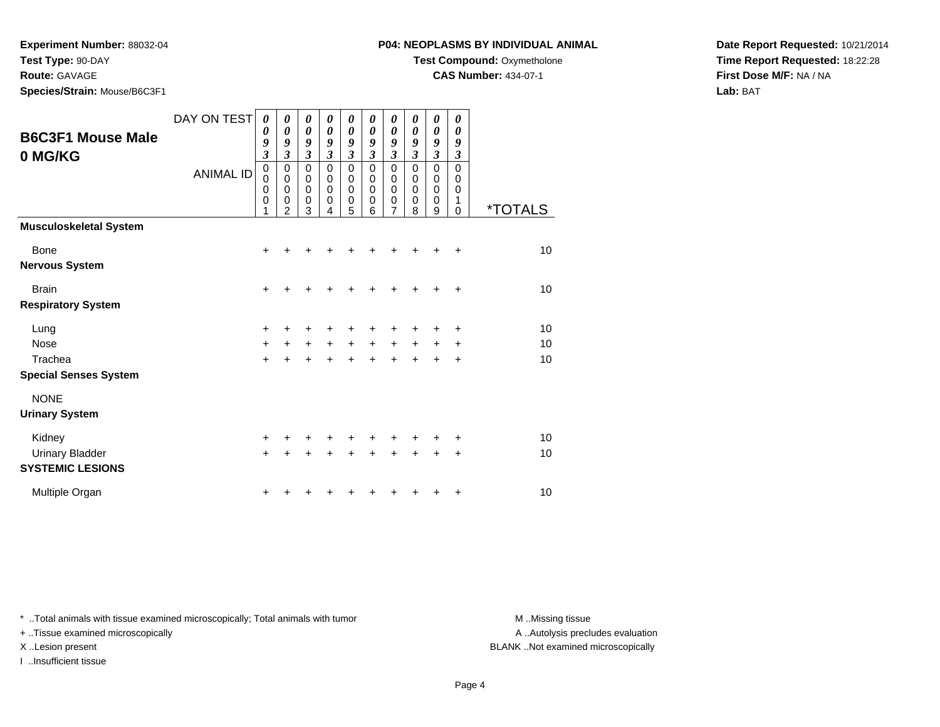**Experiment Number:** 88032-04

**Test Type:** 90-DAY

## **Route:** GAVAGE

**Species/Strain:** Mouse/B6C3F1

### **P04: NEOPLASMS BY INDIVIDUAL ANIMAL**

**Test Compound:** Oxymetholone

**CAS Number:** 434-07-1

**Date Report Requested:** 10/21/2014**Time Report Requested:** 18:22:28**First Dose M/F:** NA / NA**Lab:** BAT

| <b>B6C3F1 Mouse Male</b><br>0 MG/KG               | DAY ON TEST<br><b>ANIMAL ID</b> | 0<br>0<br>9<br>$\mathfrak{z}$<br>$\mathbf 0$<br>0<br>$\mathbf 0$<br>$\mathbf 0$<br>1 | 0<br>0<br>9<br>$\mathfrak{z}$<br>$\mathbf 0$<br>$\mathbf 0$<br>$\mathbf 0$<br>$\mathbf 0$<br>$\overline{2}$ | 0<br>0<br>9<br>$\mathfrak{z}$<br>$\mathbf 0$<br>0<br>$\mathbf 0$<br>$\mathbf 0$<br>3 | 0<br>$\boldsymbol{\theta}$<br>9<br>$\mathfrak{z}$<br>$\mathbf 0$<br>$\Omega$<br>$\mathbf 0$<br>$\Omega$<br>4 | 0<br>$\boldsymbol{\theta}$<br>9<br>$\mathfrak{z}$<br>$\mathbf 0$<br>0<br>$\mathbf 0$<br>0<br>5 | 0<br>0<br>9<br>$\mathfrak{z}$<br>$\mathbf 0$<br>0<br>0<br>0<br>6 | 0<br>$\boldsymbol{\theta}$<br>9<br>$\overline{\mathbf{3}}$<br>0<br>0<br>0<br>0<br>7 | 0<br>0<br>9<br>3<br>0<br>0<br>0<br>0<br>8 | 0<br>0<br>9<br>$\mathfrak{z}$<br>$\mathbf 0$<br>$\mathbf 0$<br>$\mathbf 0$<br>$\mathbf 0$<br>9 | 0<br>0<br>9<br>$\boldsymbol{\beta}$<br>$\mathbf 0$<br>0<br>0<br>1<br>0 | <i><b>*TOTALS</b></i> |
|---------------------------------------------------|---------------------------------|--------------------------------------------------------------------------------------|-------------------------------------------------------------------------------------------------------------|--------------------------------------------------------------------------------------|--------------------------------------------------------------------------------------------------------------|------------------------------------------------------------------------------------------------|------------------------------------------------------------------|-------------------------------------------------------------------------------------|-------------------------------------------|------------------------------------------------------------------------------------------------|------------------------------------------------------------------------|-----------------------|
| <b>Musculoskeletal System</b>                     |                                 |                                                                                      |                                                                                                             |                                                                                      |                                                                                                              |                                                                                                |                                                                  |                                                                                     |                                           |                                                                                                |                                                                        |                       |
| <b>Bone</b><br><b>Nervous System</b>              |                                 | $\ddot{}$                                                                            |                                                                                                             |                                                                                      |                                                                                                              |                                                                                                |                                                                  |                                                                                     |                                           |                                                                                                | ÷                                                                      | 10                    |
| <b>Brain</b>                                      |                                 | +                                                                                    |                                                                                                             |                                                                                      |                                                                                                              |                                                                                                |                                                                  |                                                                                     |                                           |                                                                                                |                                                                        | 10                    |
| <b>Respiratory System</b>                         |                                 |                                                                                      |                                                                                                             |                                                                                      |                                                                                                              |                                                                                                |                                                                  |                                                                                     |                                           |                                                                                                |                                                                        |                       |
| Lung                                              |                                 | $\ddot{}$                                                                            |                                                                                                             | ٠                                                                                    | +                                                                                                            | +                                                                                              |                                                                  |                                                                                     |                                           |                                                                                                | ÷                                                                      | 10                    |
| Nose                                              |                                 | $\ddot{}$                                                                            | +                                                                                                           | $\ddot{}$                                                                            | $\ddot{}$                                                                                                    | $\ddot{}$                                                                                      | $+$                                                              | $\ddot{}$                                                                           | $\ddot{}$                                 | $\ddot{}$                                                                                      | $\ddot{}$                                                              | 10                    |
| Trachea                                           |                                 | $+$                                                                                  |                                                                                                             | $\ddot{}$                                                                            | $\ddot{}$                                                                                                    | $\ddot{}$                                                                                      | $\ddot{}$                                                        | $\ddot{}$                                                                           | $\ddot{}$                                 | +                                                                                              | $\ddot{}$                                                              | 10                    |
| <b>Special Senses System</b>                      |                                 |                                                                                      |                                                                                                             |                                                                                      |                                                                                                              |                                                                                                |                                                                  |                                                                                     |                                           |                                                                                                |                                                                        |                       |
| <b>NONE</b>                                       |                                 |                                                                                      |                                                                                                             |                                                                                      |                                                                                                              |                                                                                                |                                                                  |                                                                                     |                                           |                                                                                                |                                                                        |                       |
| <b>Urinary System</b>                             |                                 |                                                                                      |                                                                                                             |                                                                                      |                                                                                                              |                                                                                                |                                                                  |                                                                                     |                                           |                                                                                                |                                                                        |                       |
| Kidney                                            |                                 | $\ddot{}$                                                                            |                                                                                                             |                                                                                      |                                                                                                              |                                                                                                |                                                                  |                                                                                     |                                           |                                                                                                |                                                                        | 10                    |
| <b>Urinary Bladder</b><br><b>SYSTEMIC LESIONS</b> |                                 | $\ddot{}$                                                                            |                                                                                                             |                                                                                      | +                                                                                                            | +                                                                                              | +                                                                | +                                                                                   | +                                         | ٠                                                                                              | $\ddot{}$                                                              | 10                    |
| Multiple Organ                                    |                                 |                                                                                      |                                                                                                             |                                                                                      |                                                                                                              |                                                                                                |                                                                  |                                                                                     |                                           |                                                                                                |                                                                        | 10                    |

\* ..Total animals with tissue examined microscopically; Total animals with tumor **M** . Missing tissue M ..Missing tissue

+ ..Tissue examined microscopically

I ..Insufficient tissue

A ..Autolysis precludes evaluation

X ..Lesion present BLANK ..Not examined microscopically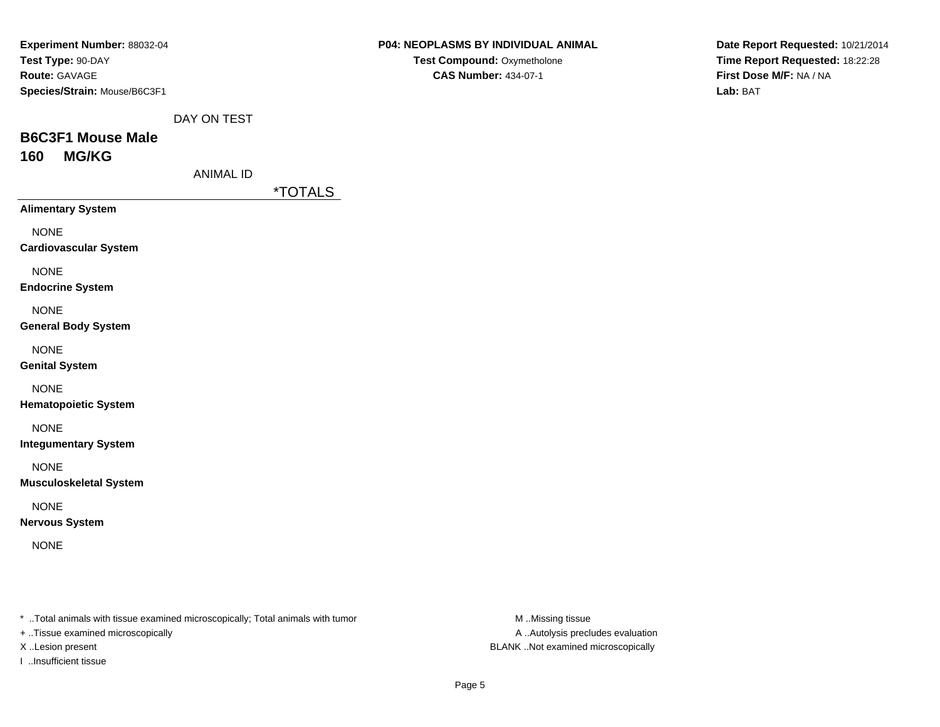| Experiment Number: 88032-04  |
|------------------------------|
| Test Type: 90-DAY            |
| <b>Route: GAVAGE</b>         |
| Species/Strain: Mouse/B6C3F1 |

**Date Report Requested:** 10/21/2014**Time Report Requested:** 18:22:28**First Dose M/F:** NA / NA**Lab:** BAT

DAY ON TEST

## **B6C3F1 Mouse Male160 MG/KG**

ANIMAL ID

\*TOTALS

**Alimentary System**

NONE

**Cardiovascular System**

NONE

**Endocrine System**

NONE

**General Body System**

NONE

**Genital System**

NONE

**Hematopoietic System**

NONE

**Integumentary System**

NONE

**Musculoskeletal System**

NONE

**Nervous System**

NONE

\* ..Total animals with tissue examined microscopically; Total animals with tumor **M** ..Missing tissue M ..Missing tissue

+ ..Tissue examined microscopically

I ..Insufficient tissue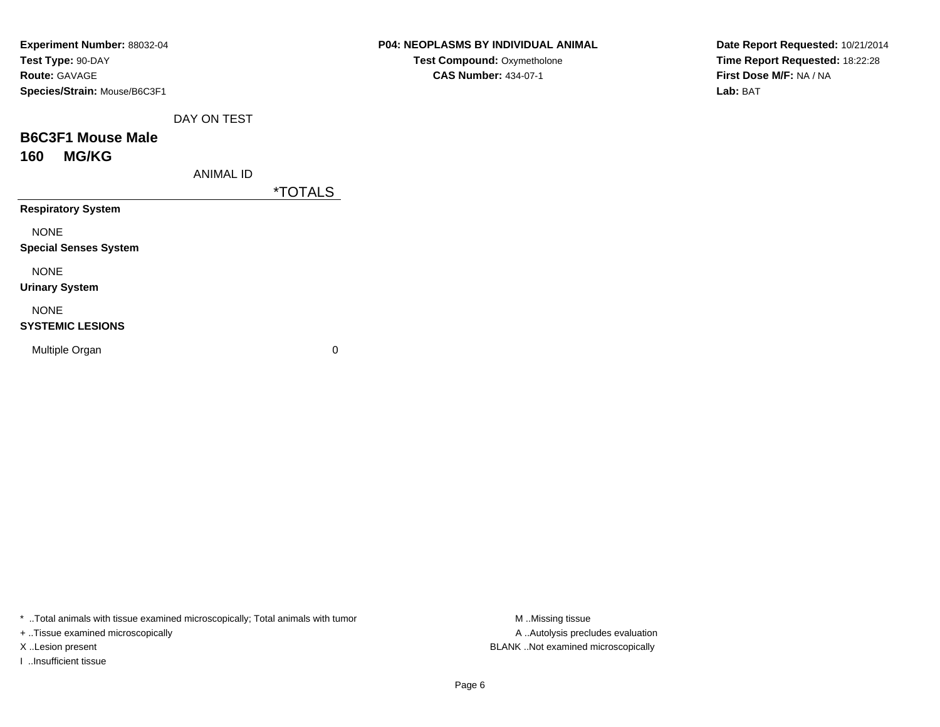| <b>Experiment Number: 88032-04</b> |
|------------------------------------|
| Test Type: 90-DAY                  |
| <b>Route: GAVAGE</b>               |
| Species/Strain: Mouse/B6C3F1       |

**Date Report Requested:** 10/21/2014**Time Report Requested:** 18:22:28**First Dose M/F:** NA / NA**Lab:** BAT

DAY ON TEST

## **B6C3F1 Mouse Male160 MG/KG**

ANIMAL ID

\*TOTALS

**Respiratory System**

NONE

**Special Senses System**

NONE

**Urinary System**

### NONE

### **SYSTEMIC LESIONS**

Multiple Organ

 $\mathbf n$  0

\* ..Total animals with tissue examined microscopically; Total animals with tumor **M** ...Missing tissue M ...Missing tissue

+ ..Tissue examined microscopically

I ..Insufficient tissue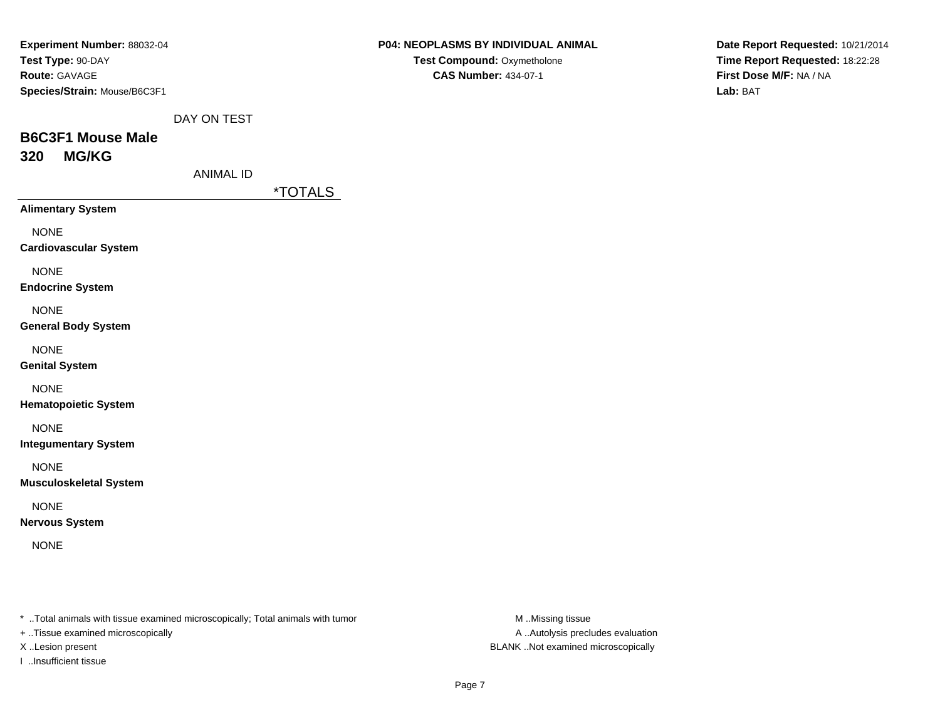| Experiment Number: 88032-04  |
|------------------------------|
| Test Type: 90-DAY            |
| <b>Route: GAVAGE</b>         |
| Species/Strain: Mouse/B6C3F1 |

**Date Report Requested:** 10/21/2014**Time Report Requested:** 18:22:28**First Dose M/F:** NA / NA**Lab:** BAT

DAY ON TEST

# **B6C3F1 Mouse Male320 MG/KG**

ANIMAL ID

\*TOTALS

**Alimentary System**

NONE

**Cardiovascular System**

NONE

**Endocrine System**

NONE

**General Body System**

NONE

**Genital System**

NONE

**Hematopoietic System**

NONE

**Integumentary System**

NONE

**Musculoskeletal System**

NONE

**Nervous System**

NONE

\* ..Total animals with tissue examined microscopically; Total animals with tumor **M** ..Missing tissue M ..Missing tissue

+ ..Tissue examined microscopically

I ..Insufficient tissue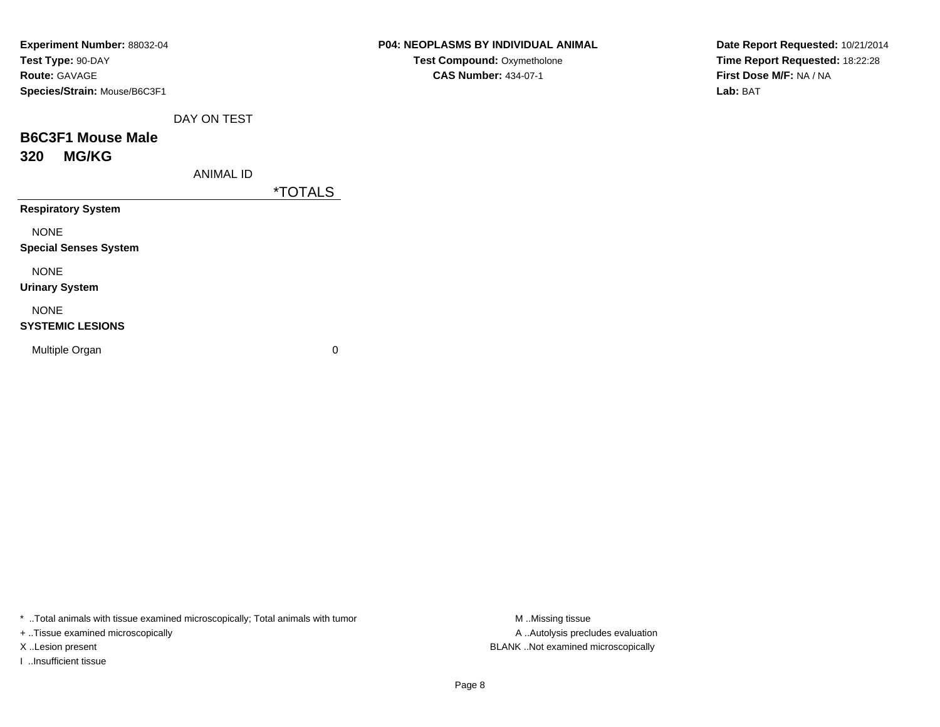| Experiment Number: 88032-04  |
|------------------------------|
| Test Type: 90-DAY            |
| <b>Route:</b> GAVAGE         |
| Species/Strain: Mouse/B6C3F1 |

### **P04: NEOPLASMS BY INDIVIDUAL ANIMALTest Compound:** Oxymetholone

**CAS Number:** 434-07-1

**Date Report Requested:** 10/21/2014**Time Report Requested:** 18:22:28**First Dose M/F:** NA / NA**Lab:** BAT

DAY ON TEST

## **B6C3F1 Mouse Male320 MG/KG**

ANIMAL ID

\*TOTALS

**Respiratory System**

NONE

**Special Senses System**

NONE

**Urinary System**

### NONE

### **SYSTEMIC LESIONS**

Multiple Organ

 $\mathbf n$  0

\* ..Total animals with tissue examined microscopically; Total animals with tumor **M** ...Missing tissue M ...Missing tissue

+ ..Tissue examined microscopically

I ..Insufficient tissue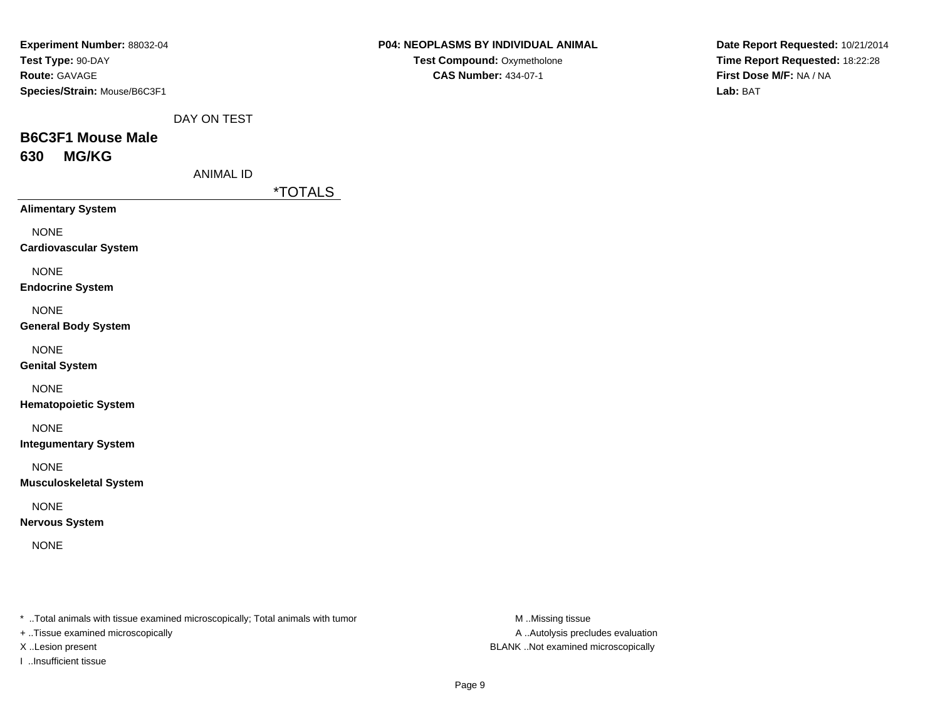| Experiment Number: 88032-04  |  |
|------------------------------|--|
| Test Type: 90-DAY            |  |
| <b>Route: GAVAGE</b>         |  |
| Species/Strain: Mouse/B6C3F1 |  |

**Date Report Requested:** 10/21/2014**Time Report Requested:** 18:22:28**First Dose M/F:** NA / NA**Lab:** BAT

DAY ON TEST

# **B6C3F1 Mouse Male630 MG/KG**

ANIMAL ID

\*TOTALS

**Alimentary System**

NONE

**Cardiovascular System**

NONE

**Endocrine System**

NONE

**General Body System**

NONE

**Genital System**

NONE

**Hematopoietic System**

NONE

**Integumentary System**

NONE

**Musculoskeletal System**

NONE

**Nervous System**

NONE

\* ..Total animals with tissue examined microscopically; Total animals with tumor **M** ..Missing tissue M ..Missing tissue

+ ..Tissue examined microscopically

I ..Insufficient tissue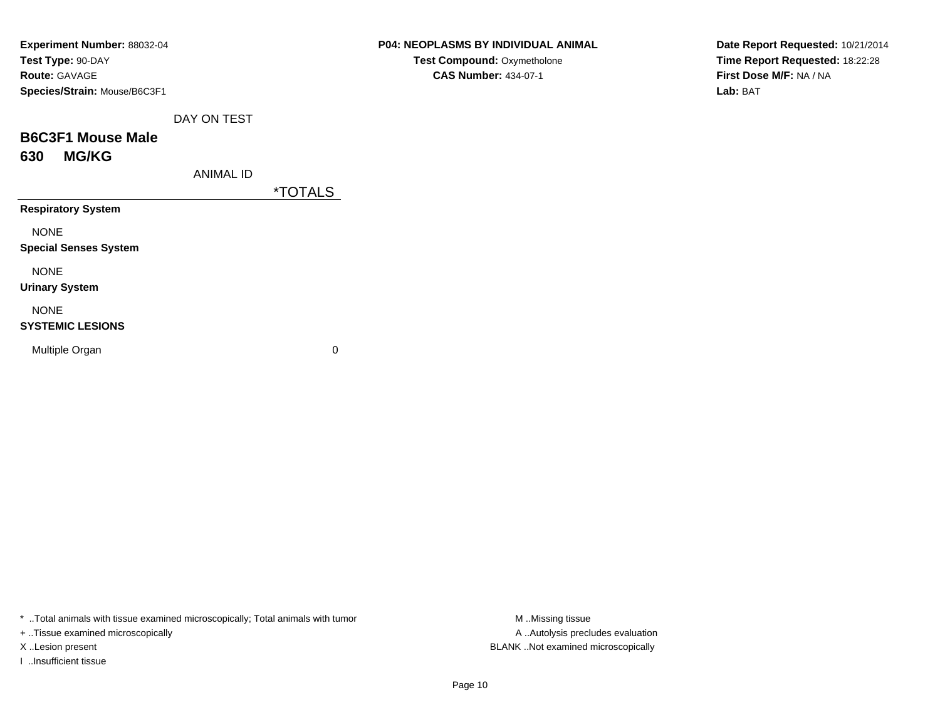| Experiment Number: 88032-04<br>Test Type: 90-DAY<br><b>Route: GAVAGE</b><br>Species/Strain: Mouse/B6C3F1 |                  |                       | <b>P04: NEOPLASMS BY INDIVIDUAL ANIMAL</b><br>Test Compound: Oxymetholone<br><b>CAS Number: 434-07-1</b> |
|----------------------------------------------------------------------------------------------------------|------------------|-----------------------|----------------------------------------------------------------------------------------------------------|
|                                                                                                          | DAY ON TEST      |                       |                                                                                                          |
| <b>B6C3F1 Mouse Male</b>                                                                                 |                  |                       |                                                                                                          |
| <b>MG/KG</b><br>630                                                                                      |                  |                       |                                                                                                          |
|                                                                                                          | <b>ANIMAL ID</b> |                       |                                                                                                          |
|                                                                                                          |                  | <i><b>*TOTALS</b></i> |                                                                                                          |
| <b>Respiratory System</b>                                                                                |                  |                       |                                                                                                          |
| <b>NONE</b>                                                                                              |                  |                       |                                                                                                          |
| <b>Special Senses System</b>                                                                             |                  |                       |                                                                                                          |
| <b>NONE</b><br><b>Urinary System</b>                                                                     |                  |                       |                                                                                                          |
| <b>NONE</b>                                                                                              |                  |                       |                                                                                                          |
| <b>SYSTEMIC LESIONS</b>                                                                                  |                  |                       |                                                                                                          |
| Multiple Organ                                                                                           |                  | $\mathbf 0$           |                                                                                                          |

**Date Report Requested:** 10/21/2014**Time Report Requested:** 18:22:28**First Dose M/F:** NA / NA**Lab:** BAT

\* ..Total animals with tissue examined microscopically; Total animals with tumor **M** ..Missing tissue M ..Missing tissue

+ ..Tissue examined microscopically

I ..Insufficient tissue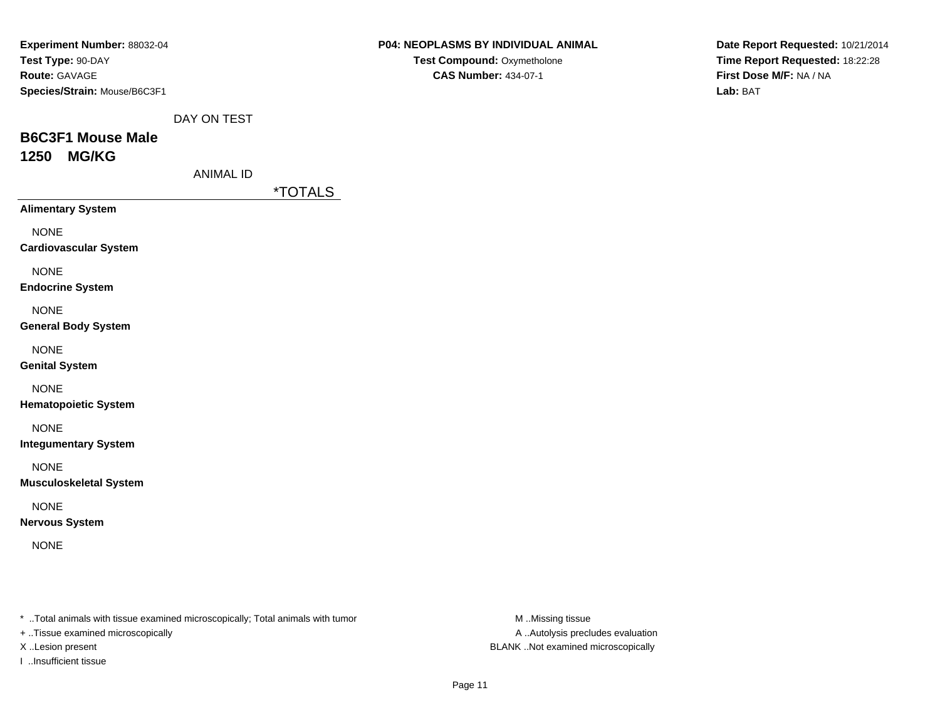| Experiment Number: 88032-04  |
|------------------------------|
| Test Type: 90-DAY            |
| <b>Route: GAVAGE</b>         |
| Species/Strain: Mouse/B6C3F1 |

**Date Report Requested:** 10/21/2014**Time Report Requested:** 18:22:28**First Dose M/F:** NA / NA**Lab:** BAT

DAY ON TEST

# **B6C3F1 Mouse Male1250 MG/KG**

ANIMAL ID

\*TOTALS

**Alimentary System**

NONE

**Cardiovascular System**

NONE

**Endocrine System**

NONE

**General Body System**

NONE

**Genital System**

NONE

**Hematopoietic System**

NONE

**Integumentary System**

NONE

**Musculoskeletal System**

NONE

**Nervous System**

NONE

\* ..Total animals with tissue examined microscopically; Total animals with tumor **M** ..Missing tissue M ..Missing tissue

+ ..Tissue examined microscopically

I ..Insufficient tissue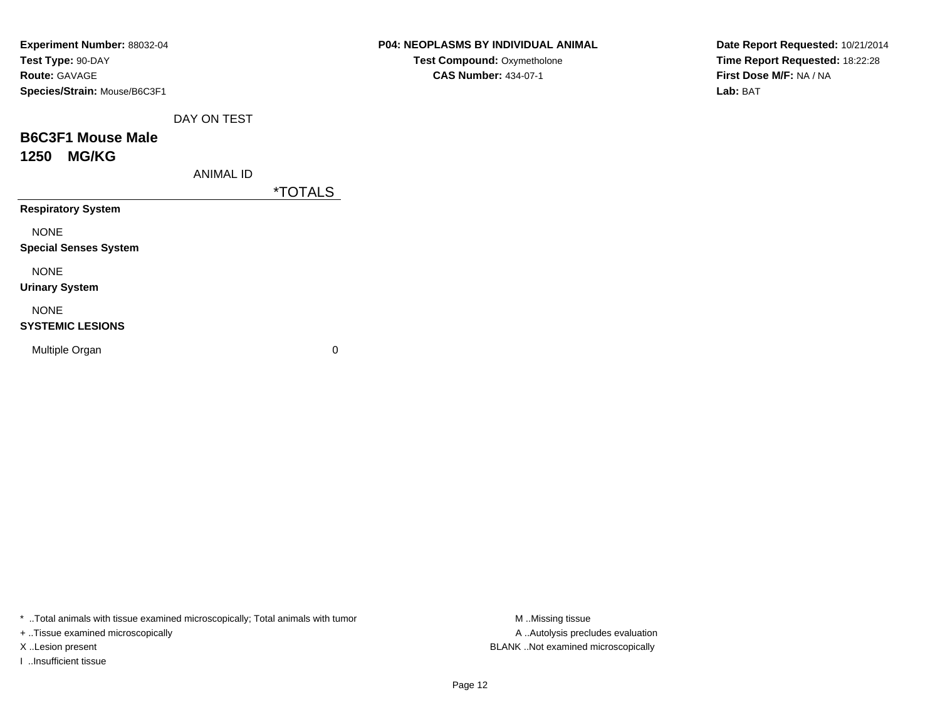| Experiment Number: 88032-04  |             |                       |
|------------------------------|-------------|-----------------------|
| Test Type: 90-DAY            |             |                       |
| <b>Route: GAVAGE</b>         |             |                       |
| Species/Strain: Mouse/B6C3F1 |             |                       |
|                              | DAY ON TEST |                       |
| <b>B6C3F1 Mouse Male</b>     |             |                       |
| 1250 MG/KG                   |             |                       |
|                              | ANIMAL ID   |                       |
|                              |             | <i><b>*TOTALS</b></i> |
| <b>Respiratory System</b>    |             |                       |
| <b>NONE</b>                  |             |                       |
| <b>Special Senses System</b> |             |                       |
| <b>NONE</b>                  |             |                       |
| <b>Urinary System</b>        |             |                       |

NONE

#### **SYSTEMIC LESIONS**

Multiple Organ

 $\mathbf n$  0

\* ..Total animals with tissue examined microscopically; Total animals with tumor **M** . Missing tissue M ..Missing tissue

+ ..Tissue examined microscopically

I ..Insufficient tissue

**CAS Number:** 434-07-1

**Date Report Requested:** 10/21/2014**Time Report Requested:** 18:22:28**First Dose M/F:** NA / NA**Lab:** BAT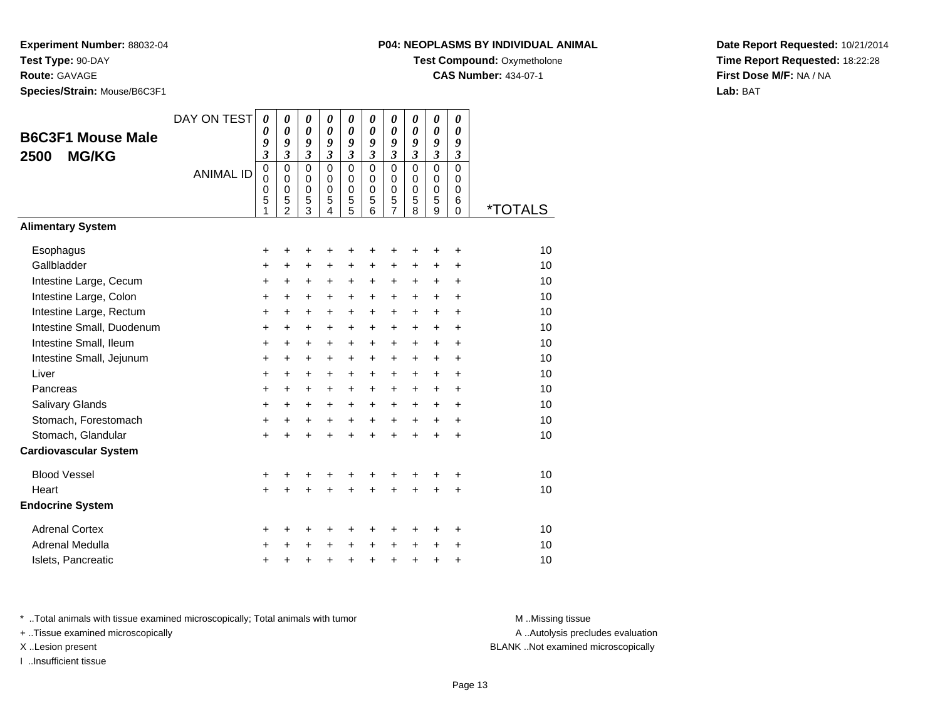**Species/Strain:** Mouse/B6C3F1

### **P04: NEOPLASMS BY INDIVIDUAL ANIMAL**

**Test Compound: Oxymetholone** 

**CAS Number:** 434-07-1

**Date Report Requested:** 10/21/2014**Time Report Requested:** 18:22:28**First Dose M/F:** NA / NA**Lab:** BAT

|                              | DAY ON TEST      | $\boldsymbol{\theta}$   | $\boldsymbol{\theta}$      | $\boldsymbol{\theta}$      | $\pmb{\theta}$               | 0                          | 0                          | $\pmb{\theta}$             | 0                          | 0                          | 0                |                       |
|------------------------------|------------------|-------------------------|----------------------------|----------------------------|------------------------------|----------------------------|----------------------------|----------------------------|----------------------------|----------------------------|------------------|-----------------------|
| <b>B6C3F1 Mouse Male</b>     |                  | 0<br>9                  | $\boldsymbol{\theta}$<br>9 | 0<br>9                     | 0<br>9                       | 0<br>9                     | $\boldsymbol{\theta}$<br>9 | 0<br>9                     | 0<br>9                     | 0<br>9                     | 0<br>9           |                       |
| <b>MG/KG</b><br>2500         |                  | $\overline{\mathbf{3}}$ | $\mathfrak{z}$             | $\overline{\mathbf{3}}$    | $\overline{\mathbf{3}}$      | $\mathfrak{z}$             | $\mathfrak{z}$             | $\mathfrak{z}$             | $\overline{\mathbf{3}}$    | $\overline{\mathbf{3}}$    | $\mathfrak{z}$   |                       |
|                              | <b>ANIMAL ID</b> | $\mathbf 0$             | $\mathbf 0$                | $\mathbf 0$                | $\mathbf 0$                  | $\mathsf 0$                | $\mathbf 0$                | $\overline{0}$             | 0                          | $\mathbf 0$                | $\mathbf 0$      |                       |
|                              |                  | $\mathbf 0$<br>0        | $\mathbf 0$<br>$\mathbf 0$ | $\mathbf 0$<br>$\mathbf 0$ | $\mathbf 0$<br>$\mathbf 0$   | $\mathbf 0$<br>$\mathbf 0$ | $\mathbf 0$<br>$\mathbf 0$ | $\mathbf 0$<br>$\mathbf 0$ | $\mathbf 0$<br>$\mathbf 0$ | $\mathbf 0$<br>$\mathbf 0$ | $\mathbf 0$<br>0 |                       |
|                              |                  | 5<br>1                  | 5<br>$\overline{c}$        | 5<br>$\overline{3}$        | 5<br>$\overline{\mathbf{A}}$ | 5<br>$\overline{5}$        | 5<br>6                     | $\frac{5}{7}$              | 5<br>8                     | 5<br>9                     | 6<br>$\Omega$    | <i><b>*TOTALS</b></i> |
| <b>Alimentary System</b>     |                  |                         |                            |                            |                              |                            |                            |                            |                            |                            |                  |                       |
| Esophagus                    |                  | +                       | +                          | +                          | +                            | +                          | +                          | ٠                          | +                          | ٠                          | ÷                | 10                    |
| Gallbladder                  |                  | +                       | $\ddot{}$                  | $\ddot{}$                  | +                            | $\ddot{}$                  | $\ddot{}$                  | +                          | +                          | +                          | $\ddot{}$        | 10                    |
| Intestine Large, Cecum       |                  | +                       | +                          | $\ddot{}$                  | +                            | +                          | +                          | +                          | $\pm$                      | +                          | +                | 10                    |
| Intestine Large, Colon       |                  | $\ddot{}$               | $\ddot{}$                  | $\ddot{}$                  | +                            | +                          | +                          | +                          | +                          | +                          | $\ddot{}$        | 10                    |
| Intestine Large, Rectum      |                  | $\ddot{}$               | $\ddot{}$                  | $\ddot{}$                  | $\ddot{}$                    | $\ddot{}$                  | $\ddot{}$                  | $\ddot{}$                  | $\ddot{}$                  | $\ddot{}$                  | $\ddot{}$        | 10                    |
| Intestine Small, Duodenum    |                  | +                       | +                          | +                          | +                            | +                          | +                          | +                          | +                          | +                          | +                | 10                    |
| Intestine Small, Ileum       |                  | $\ddot{}$               | $\ddot{}$                  | $\ddot{}$                  | +                            | $\ddot{}$                  | $\ddot{}$                  | $\ddot{}$                  | $\ddot{}$                  | $\ddot{}$                  | $\ddot{}$        | 10                    |
| Intestine Small, Jejunum     |                  | +                       | $\ddot{}$                  | $\ddot{}$                  | +                            | +                          | +                          | +                          | $\pm$                      | +                          | +                | 10                    |
| Liver                        |                  | $\ddot{}$               | $\ddot{}$                  | $\ddot{}$                  | $\ddot{}$                    | $\ddot{}$                  | $\ddot{}$                  | $\ddot{}$                  | $\ddot{}$                  | $+$                        | $\ddot{}$        | 10                    |
| Pancreas                     |                  | +                       | $\ddot{}$                  | $\ddot{}$                  | $\ddot{}$                    | $\ddot{}$                  | $\ddot{}$                  | $\ddot{}$                  | +                          | $\ddot{}$                  | $\ddot{}$        | 10                    |
| Salivary Glands              |                  | +                       | $\ddot{}$                  | $\ddot{}$                  | $\ddot{}$                    | $\ddot{}$                  | $\ddot{}$                  | $\ddot{}$                  | $\ddot{}$                  | $\ddot{}$                  | $\ddot{}$        | 10                    |
| Stomach, Forestomach         |                  | +                       | +                          | +                          | +                            | +                          | $\ddot{}$                  | +                          | +                          | +                          | +                | 10                    |
| Stomach, Glandular           |                  | $\ddot{}$               | $\ddot{}$                  | $\ddot{}$                  | $\ddot{}$                    | $\ddot{}$                  | $\ddot{}$                  | $\ddot{}$                  | $\ddot{}$                  | $\ddot{}$                  | $\ddot{}$        | 10                    |
| <b>Cardiovascular System</b> |                  |                         |                            |                            |                              |                            |                            |                            |                            |                            |                  |                       |
| <b>Blood Vessel</b>          |                  | +                       |                            |                            |                              | +                          |                            |                            |                            |                            | ٠                | 10                    |
| Heart                        |                  | $\ddot{}$               |                            | $\ddot{}$                  | $\ddot{}$                    | +                          | $\ddot{}$                  | $\ddot{}$                  | $\ddot{}$                  | $\ddot{}$                  | $\ddot{}$        | 10                    |
| <b>Endocrine System</b>      |                  |                         |                            |                            |                              |                            |                            |                            |                            |                            |                  |                       |
| <b>Adrenal Cortex</b>        |                  | +                       | +                          | +                          | +                            | +                          | +                          | +                          | +                          | +                          | +                | 10                    |
| Adrenal Medulla              |                  | +                       | +                          | +                          | +                            | +                          | +                          | +                          | +                          | +                          | +                | 10                    |
| Islets, Pancreatic           |                  | +                       | +                          | +                          | +                            | $\ddot{}$                  | $\ddot{}$                  | +                          | +                          | +                          | +                | 10                    |

\* ..Total animals with tissue examined microscopically; Total animals with tumor **M** . Missing tissue M ..Missing tissue

+ ..Tissue examined microscopically

I ..Insufficient tissue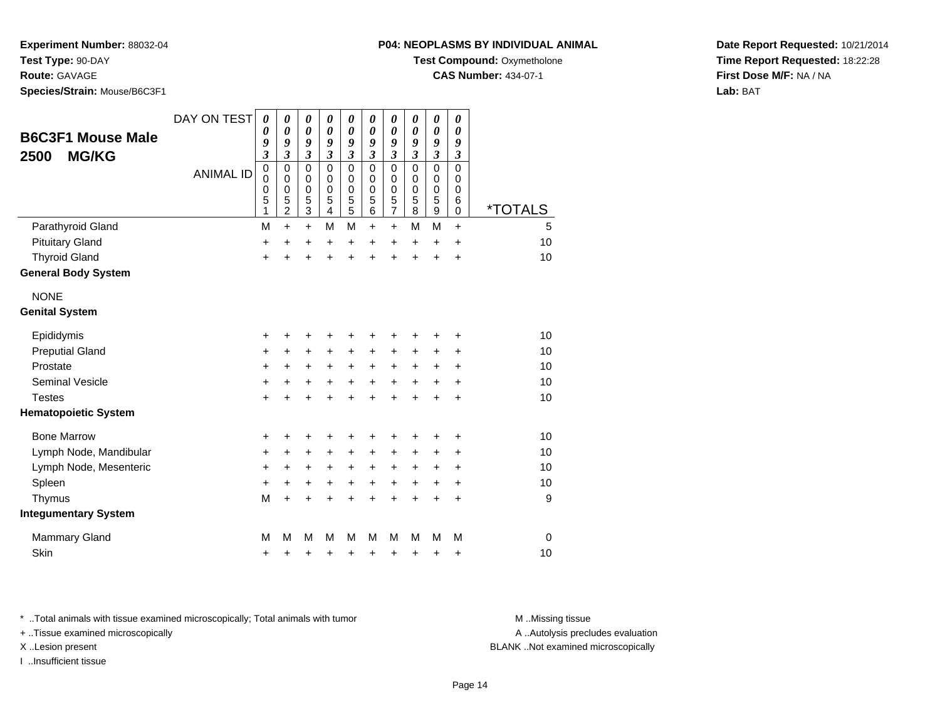**Route:** GAVAGE

**Species/Strain:** Mouse/B6C3F1

### **P04: NEOPLASMS BY INDIVIDUAL ANIMAL**

**Test Compound:** Oxymetholone

**CAS Number:** 434-07-1

**Date Report Requested:** 10/21/2014**Time Report Requested:** 18:22:28**First Dose M/F:** NA / NA**Lab:** BAT

| <b>B6C3F1 Mouse Male</b><br><b>MG/KG</b><br>2500 | DAY ON TEST<br><b>ANIMAL ID</b> | 0<br>0<br>9<br>$\overline{\mathbf{3}}$<br>0<br>$\mathbf 0$<br>0<br>5<br>1 | $\boldsymbol{\theta}$<br>$\boldsymbol{\theta}$<br>9<br>$\mathfrak{z}$<br>$\mathbf 0$<br>$\pmb{0}$<br>$\mathbf 0$<br>5<br>$\overline{2}$ | $\boldsymbol{\theta}$<br>0<br>9<br>$\mathfrak{z}$<br>$\mathbf 0$<br>0<br>$\mathbf 0$<br>5<br>3 | $\pmb{\theta}$<br>$\boldsymbol{\theta}$<br>9<br>$\overline{\mathbf{3}}$<br>$\Omega$<br>$\mathbf 0$<br>$\mathbf 0$<br>5<br>$\overline{4}$ | $\boldsymbol{\theta}$<br>$\boldsymbol{\theta}$<br>9<br>$\overline{\mathbf{3}}$<br>$\mathbf 0$<br>$\pmb{0}$<br>$\pmb{0}$<br>5<br>5 | $\boldsymbol{\theta}$<br>$\boldsymbol{\theta}$<br>9<br>3<br>$\mathbf 0$<br>$\mathbf 0$<br>$\mathbf 0$<br>5<br>6 | $\pmb{\theta}$<br>$\boldsymbol{\theta}$<br>9<br>$\overline{\mathbf{3}}$<br>0<br>0<br>$\pmb{0}$<br>$\frac{5}{7}$ | 0<br>0<br>9<br>$\overline{\mathbf{3}}$<br>0<br>0<br>0<br>5<br>8 | 0<br>0<br>9<br>$\overline{\mathbf{3}}$<br>$\mathbf 0$<br>0<br>0<br>5<br>9 | 0<br>0<br>9<br>$\overline{\mathbf{3}}$<br>$\Omega$<br>$\mathbf 0$<br>$\mathbf 0$<br>6<br>0 | <i><b>*TOTALS</b></i> |
|--------------------------------------------------|---------------------------------|---------------------------------------------------------------------------|-----------------------------------------------------------------------------------------------------------------------------------------|------------------------------------------------------------------------------------------------|------------------------------------------------------------------------------------------------------------------------------------------|-----------------------------------------------------------------------------------------------------------------------------------|-----------------------------------------------------------------------------------------------------------------|-----------------------------------------------------------------------------------------------------------------|-----------------------------------------------------------------|---------------------------------------------------------------------------|--------------------------------------------------------------------------------------------|-----------------------|
| Parathyroid Gland                                |                                 | M                                                                         | $+$                                                                                                                                     | $\ddot{}$                                                                                      | M                                                                                                                                        | M                                                                                                                                 | $\ddot{}$                                                                                                       | $\ddot{}$                                                                                                       | M                                                               | M                                                                         | $\ddot{}$                                                                                  | 5                     |
| <b>Pituitary Gland</b>                           |                                 | +                                                                         | $\ddot{}$                                                                                                                               | +                                                                                              | +                                                                                                                                        | +                                                                                                                                 | $\ddot{}$                                                                                                       | $\ddot{}$                                                                                                       | $\pm$                                                           | $\ddot{}$                                                                 | +                                                                                          | 10                    |
| <b>Thyroid Gland</b>                             |                                 | $\ddot{}$                                                                 | $\ddot{}$                                                                                                                               | $\ddot{}$                                                                                      | $\ddot{}$                                                                                                                                | $\ddot{}$                                                                                                                         | ÷                                                                                                               | $\ddot{}$                                                                                                       | $\ddot{}$                                                       | $\ddot{}$                                                                 | +                                                                                          | 10                    |
| <b>General Body System</b>                       |                                 |                                                                           |                                                                                                                                         |                                                                                                |                                                                                                                                          |                                                                                                                                   |                                                                                                                 |                                                                                                                 |                                                                 |                                                                           |                                                                                            |                       |
| <b>NONE</b>                                      |                                 |                                                                           |                                                                                                                                         |                                                                                                |                                                                                                                                          |                                                                                                                                   |                                                                                                                 |                                                                                                                 |                                                                 |                                                                           |                                                                                            |                       |
| <b>Genital System</b>                            |                                 |                                                                           |                                                                                                                                         |                                                                                                |                                                                                                                                          |                                                                                                                                   |                                                                                                                 |                                                                                                                 |                                                                 |                                                                           |                                                                                            |                       |
| Epididymis                                       |                                 | +                                                                         | +                                                                                                                                       | +                                                                                              | +                                                                                                                                        | +                                                                                                                                 | +                                                                                                               | +                                                                                                               | +                                                               | +                                                                         | +                                                                                          | 10                    |
| <b>Preputial Gland</b>                           |                                 | +                                                                         | $\ddot{}$                                                                                                                               | +                                                                                              | +                                                                                                                                        | +                                                                                                                                 | $\ddot{}$                                                                                                       | +                                                                                                               | +                                                               | +                                                                         | +                                                                                          | 10                    |
| Prostate                                         |                                 | $\ddot{}$                                                                 | $\ddot{}$                                                                                                                               | $\ddot{}$                                                                                      | $\ddot{}$                                                                                                                                | $\ddot{}$                                                                                                                         | $\ddot{}$                                                                                                       | $\ddot{}$                                                                                                       | $\ddot{}$                                                       | +                                                                         | +                                                                                          | 10                    |
| Seminal Vesicle                                  |                                 | +                                                                         | +                                                                                                                                       | +                                                                                              | +                                                                                                                                        | $\ddot{}$                                                                                                                         | $\ddot{}$                                                                                                       | +                                                                                                               | +                                                               | +                                                                         | +                                                                                          | 10                    |
| <b>Testes</b>                                    |                                 | $\ddot{}$                                                                 |                                                                                                                                         | ÷                                                                                              | $\ddot{}$                                                                                                                                | $\ddot{}$                                                                                                                         | $\ddot{}$                                                                                                       | $\ddot{}$                                                                                                       | $\ddot{}$                                                       | $\div$                                                                    | +                                                                                          | 10                    |
| <b>Hematopoietic System</b>                      |                                 |                                                                           |                                                                                                                                         |                                                                                                |                                                                                                                                          |                                                                                                                                   |                                                                                                                 |                                                                                                                 |                                                                 |                                                                           |                                                                                            |                       |
| <b>Bone Marrow</b>                               |                                 | +                                                                         | ٠                                                                                                                                       | +                                                                                              | +                                                                                                                                        | +                                                                                                                                 | +                                                                                                               | +                                                                                                               | +                                                               | +                                                                         | +                                                                                          | 10                    |
| Lymph Node, Mandibular                           |                                 | $\pm$                                                                     | $\ddot{}$                                                                                                                               | +                                                                                              | +                                                                                                                                        | $\ddot{}$                                                                                                                         | +                                                                                                               | $\pm$                                                                                                           | $\pm$                                                           | $\pm$                                                                     | +                                                                                          | 10                    |
| Lymph Node, Mesenteric                           |                                 | +                                                                         | +                                                                                                                                       | +                                                                                              | +                                                                                                                                        | $\ddot{}$                                                                                                                         | $\ddot{}$                                                                                                       | +                                                                                                               | ٠                                                               | ٠                                                                         | ٠                                                                                          | 10                    |
| Spleen                                           |                                 | +                                                                         | +                                                                                                                                       | +                                                                                              | $\ddot{}$                                                                                                                                | $\ddot{}$                                                                                                                         | $\ddot{}$                                                                                                       | $\ddot{}$                                                                                                       | +                                                               | +                                                                         | +                                                                                          | 10                    |
| Thymus                                           |                                 | M                                                                         | $\ddot{}$                                                                                                                               | $\ddot{}$                                                                                      | $\ddot{}$                                                                                                                                | $\ddot{}$                                                                                                                         | $\ddot{}$                                                                                                       | $\ddot{}$                                                                                                       | $\ddot{}$                                                       | $\ddot{}$                                                                 | $\ddot{}$                                                                                  | 9                     |
| <b>Integumentary System</b>                      |                                 |                                                                           |                                                                                                                                         |                                                                                                |                                                                                                                                          |                                                                                                                                   |                                                                                                                 |                                                                                                                 |                                                                 |                                                                           |                                                                                            |                       |
| Mammary Gland                                    |                                 | М                                                                         | М                                                                                                                                       | M                                                                                              | М                                                                                                                                        | м                                                                                                                                 | м                                                                                                               | M                                                                                                               | м                                                               | м                                                                         | М                                                                                          | $\mathbf 0$           |
| <b>Skin</b>                                      |                                 | +                                                                         | +                                                                                                                                       | +                                                                                              | +                                                                                                                                        | +                                                                                                                                 | +                                                                                                               | +                                                                                                               | +                                                               | +                                                                         | +                                                                                          | 10                    |

\* ..Total animals with tissue examined microscopically; Total animals with tumor **M** . Missing tissue M ..Missing tissue

+ ..Tissue examined microscopically

I ..Insufficient tissue

A ..Autolysis precludes evaluation

X ..Lesion present BLANK ..Not examined microscopically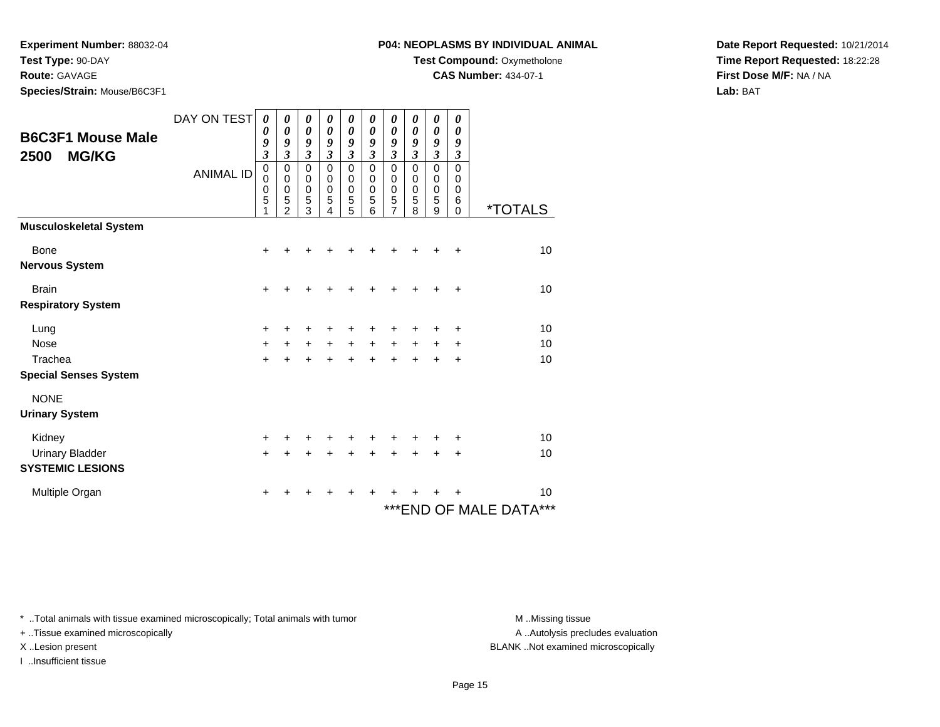**Route:** GAVAGE

**Species/Strain:** Mouse/B6C3F1

### **P04: NEOPLASMS BY INDIVIDUAL ANIMAL**

**Test Compound:** Oxymetholone

**CAS Number:** 434-07-1

**Date Report Requested:** 10/21/2014**Time Report Requested:** 18:22:28**First Dose M/F:** NA / NA**Lab:** BAT

|                                                  | DAY ON TEST      | 0                                                                          | 0                                                            | 0                                                              | 0                                                                                 | 0                                                                              | 0                                                                               | 0                                                              | 0                                                                       | 0                                                                        | 0                                                                             |                              |
|--------------------------------------------------|------------------|----------------------------------------------------------------------------|--------------------------------------------------------------|----------------------------------------------------------------|-----------------------------------------------------------------------------------|--------------------------------------------------------------------------------|---------------------------------------------------------------------------------|----------------------------------------------------------------|-------------------------------------------------------------------------|--------------------------------------------------------------------------|-------------------------------------------------------------------------------|------------------------------|
| <b>B6C3F1 Mouse Male</b><br><b>MG/KG</b><br>2500 | <b>ANIMAL ID</b> | 0<br>9<br>$\mathfrak{z}$<br>$\mathbf 0$<br>$\mathbf 0$<br>$\mathbf 0$<br>5 | 0<br>9<br>$\mathfrak{z}$<br>0<br>$\pmb{0}$<br>$\pmb{0}$<br>5 | 0<br>9<br>$\mathfrak{z}$<br>$\mathbf 0$<br>0<br>$\pmb{0}$<br>5 | 0<br>9<br>$\overline{\mathbf{3}}$<br>$\mathbf 0$<br>$\mathbf 0$<br>$\pmb{0}$<br>5 | 0<br>9<br>$\overline{\mathbf{3}}$<br>$\pmb{0}$<br>$\mathbf 0$<br>$\frac{0}{5}$ | 0<br>9<br>$\overline{\mathbf{3}}$<br>$\mathbf 0$<br>$\pmb{0}$<br>$\pmb{0}$<br>5 | 0<br>9<br>$\mathfrak{z}$<br>$\mathbf 0$<br>0<br>$\pmb{0}$<br>5 | 0<br>9<br>$\mathfrak{z}$<br>$\Omega$<br>$\mathbf 0$<br>$\mathbf 0$<br>5 | 0<br>9<br>$\mathfrak{z}$<br>$\mathbf 0$<br>$\mathbf 0$<br>$\pmb{0}$<br>5 | 0<br>9<br>$\boldsymbol{\beta}$<br>$\Omega$<br>$\mathbf 0$<br>$\mathbf 0$<br>6 |                              |
|                                                  |                  | 1                                                                          | $\mathfrak{p}$                                               | 3                                                              | 4                                                                                 | 5                                                                              | 6                                                                               | 7                                                              | 8                                                                       | 9                                                                        | $\Omega$                                                                      | <i><b>*TOTALS</b></i>        |
| <b>Musculoskeletal System</b>                    |                  |                                                                            |                                                              |                                                                |                                                                                   |                                                                                |                                                                                 |                                                                |                                                                         |                                                                          |                                                                               |                              |
| Bone                                             |                  | +                                                                          |                                                              |                                                                |                                                                                   |                                                                                |                                                                                 |                                                                |                                                                         |                                                                          | ٠                                                                             | 10                           |
| <b>Nervous System</b>                            |                  |                                                                            |                                                              |                                                                |                                                                                   |                                                                                |                                                                                 |                                                                |                                                                         |                                                                          |                                                                               |                              |
| <b>Brain</b>                                     |                  | $\ddot{}$                                                                  |                                                              |                                                                |                                                                                   |                                                                                |                                                                                 |                                                                |                                                                         |                                                                          | $\pm$                                                                         | 10                           |
| <b>Respiratory System</b>                        |                  |                                                                            |                                                              |                                                                |                                                                                   |                                                                                |                                                                                 |                                                                |                                                                         |                                                                          |                                                                               |                              |
| Lung                                             |                  | +                                                                          |                                                              |                                                                |                                                                                   |                                                                                |                                                                                 |                                                                |                                                                         |                                                                          | +                                                                             | 10                           |
| <b>Nose</b>                                      |                  | $\ddot{}$                                                                  | $\ddot{}$                                                    | $\ddot{}$                                                      | $\ddot{}$                                                                         | $+$                                                                            | $+$                                                                             | $+$                                                            | $+$                                                                     |                                                                          | +                                                                             | 10                           |
| Trachea                                          |                  | $+$                                                                        | $\ddot{}$                                                    | $\ddot{}$                                                      | $\ddot{}$                                                                         | $+$                                                                            | $+$                                                                             | $+$                                                            | $+$                                                                     | $\ddot{}$                                                                | $\ddot{}$                                                                     | 10                           |
| <b>Special Senses System</b>                     |                  |                                                                            |                                                              |                                                                |                                                                                   |                                                                                |                                                                                 |                                                                |                                                                         |                                                                          |                                                                               |                              |
| <b>NONE</b>                                      |                  |                                                                            |                                                              |                                                                |                                                                                   |                                                                                |                                                                                 |                                                                |                                                                         |                                                                          |                                                                               |                              |
| <b>Urinary System</b>                            |                  |                                                                            |                                                              |                                                                |                                                                                   |                                                                                |                                                                                 |                                                                |                                                                         |                                                                          |                                                                               |                              |
| Kidney                                           |                  | +                                                                          |                                                              | +                                                              |                                                                                   |                                                                                |                                                                                 |                                                                |                                                                         |                                                                          | +                                                                             | 10                           |
| <b>Urinary Bladder</b>                           |                  | $\ddot{}$                                                                  |                                                              | $\ddot{}$                                                      | $\ddot{}$                                                                         | $\ddot{}$                                                                      | +                                                                               | +                                                              | $\ddot{}$                                                               |                                                                          | +                                                                             | 10                           |
| <b>SYSTEMIC LESIONS</b>                          |                  |                                                                            |                                                              |                                                                |                                                                                   |                                                                                |                                                                                 |                                                                |                                                                         |                                                                          |                                                                               |                              |
| Multiple Organ                                   |                  | $\pm$                                                                      | +                                                            | +                                                              | +                                                                                 | ٠                                                                              | ÷                                                                               |                                                                |                                                                         |                                                                          |                                                                               | 10                           |
|                                                  |                  |                                                                            |                                                              |                                                                |                                                                                   |                                                                                |                                                                                 |                                                                |                                                                         |                                                                          |                                                                               | ***<br>*** END OF MALE DATA® |

\* ..Total animals with tissue examined microscopically; Total animals with tumor **M** . Missing tissue M ..Missing tissue

+ ..Tissue examined microscopically

I ..Insufficient tissue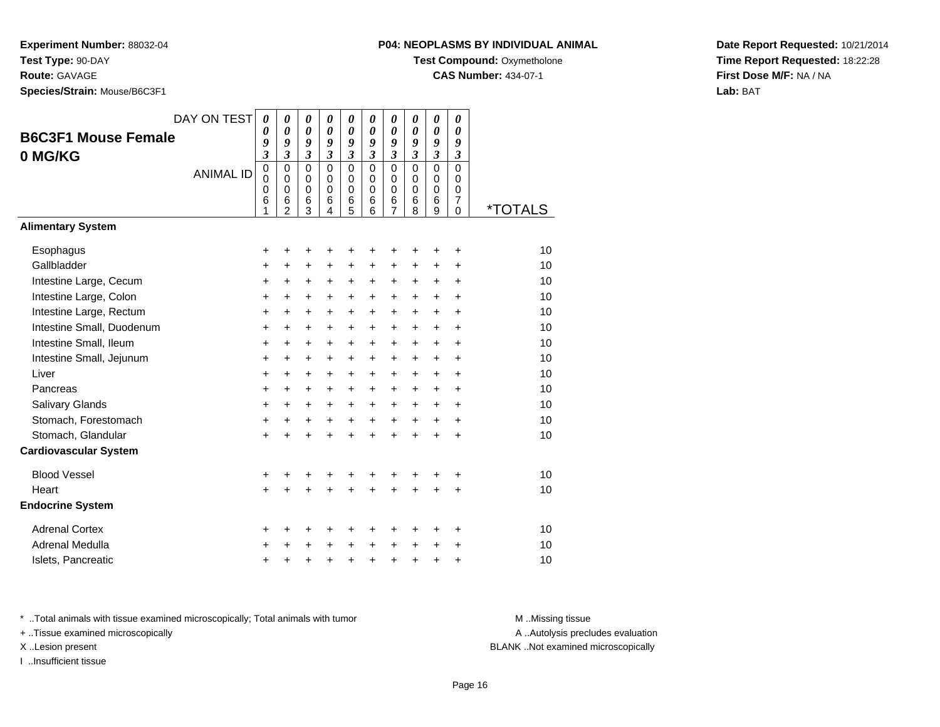**Route:** GAVAGE

**Species/Strain:** Mouse/B6C3F1

### **P04: NEOPLASMS BY INDIVIDUAL ANIMAL**

**Test Compound: Oxymetholone** 

**CAS Number:** 434-07-1

**Date Report Requested:** 10/21/2014**Time Report Requested:** 18:22:28**First Dose M/F:** NA / NA**Lab:** BAT

|                              | DAY ON TEST      | $\boldsymbol{\theta}$ | $\boldsymbol{\theta}$        | $\boldsymbol{\theta}$        | 0                          | 0                   | 0                          | 0                  | 0                            | 0                     | 0                   |                       |
|------------------------------|------------------|-----------------------|------------------------------|------------------------------|----------------------------|---------------------|----------------------------|--------------------|------------------------------|-----------------------|---------------------|-----------------------|
| <b>B6C3F1 Mouse Female</b>   |                  | 0                     | 0                            | $\boldsymbol{\theta}$        | 0                          | 0                   | 0                          | 0                  | 0                            | $\boldsymbol{\theta}$ | 0                   |                       |
| 0 MG/KG                      |                  | 9<br>3                | 9<br>$\overline{\mathbf{3}}$ | 9<br>$\overline{\mathbf{3}}$ | 9<br>$\mathfrak{z}$        | 9<br>$\mathfrak{z}$ | 9<br>$\mathfrak{z}$        | 9<br>3             | 9<br>$\overline{\mathbf{3}}$ | 9<br>$\mathfrak{z}$   | 9<br>$\mathfrak{z}$ |                       |
|                              | <b>ANIMAL ID</b> | $\mathbf 0$           | $\mathbf 0$                  | $\mathbf 0$                  | $\mathbf 0$                | $\mathbf 0$         | $\mathbf 0$                | $\mathbf 0$        | $\Omega$                     | $\mathbf 0$           | $\mathbf 0$         |                       |
|                              |                  | $\pmb{0}$             | $\pmb{0}$                    | $\mathbf 0$<br>$\pmb{0}$     | $\mathbf 0$<br>$\mathbf 0$ | $\mathbf 0$         | $\mathbf 0$<br>$\mathbf 0$ | 0                  | $\mathbf 0$                  | $\mathbf 0$           | $\mathbf 0$         |                       |
|                              |                  | $\mathbf 0$<br>6      | $\pmb{0}$<br>6               | 6                            | 6                          | $\pmb{0}$<br>6      | 6                          | 0<br>$\frac{6}{7}$ | 0<br>6                       | $\mathbf 0$<br>6      | 0<br>7              |                       |
|                              |                  | 1                     | $\overline{2}$               | 3                            | $\overline{4}$             | 5                   | 6                          |                    | 8                            | 9                     | $\mathbf 0$         | <i><b>*TOTALS</b></i> |
| <b>Alimentary System</b>     |                  |                       |                              |                              |                            |                     |                            |                    |                              |                       |                     |                       |
| Esophagus                    |                  | +                     | ٠                            | +                            | +                          | +                   | ٠                          | ÷                  | +                            | ÷                     | ÷                   | 10                    |
| Gallbladder                  |                  | +                     | $\pm$                        | +                            | $\ddot{}$                  | $\pm$               | $\ddot{}$                  | $\ddot{}$          | +                            | $\pm$                 | $\ddot{}$           | 10                    |
| Intestine Large, Cecum       |                  | +                     | $\ddot{}$                    | $\ddot{}$                    | $\ddot{}$                  | +                   | $\ddot{}$                  | $\pm$              | $\ddot{}$                    | $\ddot{}$             | $\ddot{}$           | 10                    |
| Intestine Large, Colon       |                  | +                     | +                            | +                            | +                          | +                   | +                          | $\ddot{}$          | +                            | +                     | $\ddot{}$           | 10                    |
| Intestine Large, Rectum      |                  | $\ddot{}$             | $\ddot{}$                    | $\ddot{}$                    | $\ddot{}$                  | $\ddot{}$           | $\ddot{}$                  | $\ddot{}$          | $\ddot{}$                    | $\ddot{}$             | $\ddot{}$           | 10                    |
| Intestine Small, Duodenum    |                  | $\ddot{}$             | $\ddot{}$                    | $\ddot{}$                    | +                          | $\ddot{}$           | $\ddot{}$                  | $\ddot{}$          | $\ddot{}$                    | $\ddot{}$             | $\ddot{}$           | 10                    |
| Intestine Small, Ileum       |                  | $\ddot{}$             | $\ddot{}$                    | $\ddot{}$                    | $\ddot{}$                  | $\ddot{}$           | $\ddot{}$                  | $\ddot{}$          | $\ddot{}$                    | $\ddot{}$             | $\ddot{}$           | 10                    |
| Intestine Small, Jejunum     |                  | $\ddot{}$             | $\ddot{}$                    | $\ddot{}$                    | $\ddot{}$                  | +                   | $\ddot{}$                  | $+$                | $\ddot{}$                    | $\ddot{}$             | $\ddot{}$           | 10                    |
| Liver                        |                  | $\ddot{}$             | $\ddot{}$                    | +                            | $\ddot{}$                  | $\ddot{}$           | $\ddot{}$                  | $\ddot{}$          | $\ddot{}$                    | $\ddot{}$             | $\ddot{}$           | 10                    |
| Pancreas                     |                  | $\ddot{}$             | $+$                          | $+$                          | $+$                        | $\ddot{}$           | $+$                        | $+$                | $\ddot{}$                    | $\ddot{}$             | $\ddot{}$           | 10                    |
| Salivary Glands              |                  | $\ddot{}$             | $\ddot{}$                    | $\ddot{}$                    | $\ddot{}$                  | $\ddot{}$           | $\ddot{}$                  | $+$                | $\ddot{}$                    | $\ddot{}$             | $\ddot{}$           | 10                    |
| Stomach, Forestomach         |                  | +                     | $\ddot{}$                    | $\ddot{}$                    | $\ddot{}$                  | $\ddot{}$           | $\ddot{}$                  | $\ddot{}$          | $\ddot{}$                    | $\ddot{}$             | $\ddot{}$           | 10                    |
| Stomach, Glandular           |                  | $\ddot{}$             |                              | $\ddot{}$                    | $\ddot{}$                  | $\ddot{}$           | $\ddot{}$                  | $\ddot{}$          | $\ddot{}$                    | $\ddot{}$             | $\ddot{}$           | 10                    |
| <b>Cardiovascular System</b> |                  |                       |                              |                              |                            |                     |                            |                    |                              |                       |                     |                       |
| <b>Blood Vessel</b>          |                  | +                     |                              |                              |                            | +                   |                            |                    |                              |                       | +                   | 10                    |
| Heart                        |                  | $\ddot{}$             |                              | $\ddot{}$                    | $\ddot{}$                  | $\ddot{}$           | $\ddot{}$                  | $\ddot{}$          | $\ddot{}$                    | $\ddot{}$             | $\ddot{}$           | 10                    |
| <b>Endocrine System</b>      |                  |                       |                              |                              |                            |                     |                            |                    |                              |                       |                     |                       |
| <b>Adrenal Cortex</b>        |                  | +                     | +                            | +                            | +                          | +                   | ٠                          | ٠                  | ٠                            | ٠                     | ÷                   | 10                    |
| Adrenal Medulla              |                  | +                     |                              | +                            | +                          | +                   | +                          | +                  | +                            | +                     | +                   | 10                    |
| Islets, Pancreatic           |                  | +                     |                              | +                            | +                          | +                   | $\ddot{}$                  | $\pm$              | +                            | +                     | $\ddot{}$           | 10                    |

\* ..Total animals with tissue examined microscopically; Total animals with tumor **M** . Missing tissue M ..Missing tissue

+ ..Tissue examined microscopically

I ..Insufficient tissue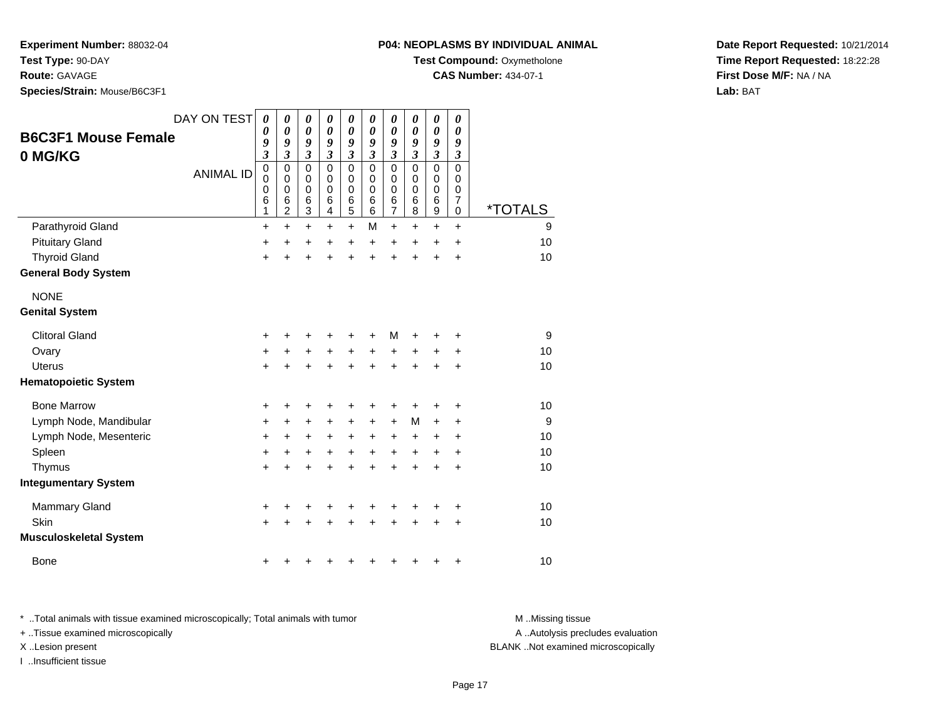**Experiment Number:** 88032-04

**Test Type:** 90-DAY

**Route:** GAVAGE

**Species/Strain:** Mouse/B6C3F1

**Test Compound: Oxymetholone** 

**CAS Number:** 434-07-1

**Date Report Requested:** 10/21/2014**Time Report Requested:** 18:22:28**First Dose M/F:** NA / NA**Lab:** BAT

| <b>B6C3F1 Mouse Female</b><br>0 MG/KG | DAY ON TEST<br><b>ANIMAL ID</b> | 0<br>0<br>9<br>$\boldsymbol{\mathfrak{z}}$<br>$\mathbf 0$<br>$\mathbf 0$<br>0<br>6<br>1 | 0<br>0<br>9<br>3<br>$\mathbf 0$<br>$\mathbf 0$<br>$\mathbf 0$<br>6<br>$\overline{c}$ | 0<br>$\boldsymbol{\theta}$<br>9<br>$\boldsymbol{\beta}$<br>$\mathbf 0$<br>$\mathbf 0$<br>0<br>$6\phantom{1}6$<br>$\ensuremath{\mathsf{3}}$ | 0<br>$\boldsymbol{\theta}$<br>9<br>$\mathfrak{z}$<br>$\Omega$<br>$\Omega$<br>$\Omega$<br>6<br>4 | $\boldsymbol{\theta}$<br>$\boldsymbol{\theta}$<br>9<br>3<br>$\mathbf 0$<br>$\mathbf 0$<br>0<br>6<br>5 | 0<br>$\boldsymbol{\theta}$<br>9<br>$\mathfrak{z}$<br>$\mathbf 0$<br>$\mathbf 0$<br>0<br>6<br>6 | 0<br>$\boldsymbol{\theta}$<br>9<br>3<br>$\mathbf 0$<br>0<br>0<br>$\,$ 6 $\,$<br>$\overline{7}$ | 0<br>$\pmb{\theta}$<br>9<br>$\mathfrak{z}$<br>$\mathbf 0$<br>$\mathbf 0$<br>0<br>6<br>8 | 0<br>$\boldsymbol{\theta}$<br>9<br>$\overline{\mathbf{3}}$<br>$\mathbf 0$<br>0<br>0<br>6<br>9 | 0<br>0<br>9<br>3<br>0<br>0<br>0<br>$\overline{7}$<br>0 | <i><b>*TOTALS</b></i> |
|---------------------------------------|---------------------------------|-----------------------------------------------------------------------------------------|--------------------------------------------------------------------------------------|--------------------------------------------------------------------------------------------------------------------------------------------|-------------------------------------------------------------------------------------------------|-------------------------------------------------------------------------------------------------------|------------------------------------------------------------------------------------------------|------------------------------------------------------------------------------------------------|-----------------------------------------------------------------------------------------|-----------------------------------------------------------------------------------------------|--------------------------------------------------------|-----------------------|
| Parathyroid Gland                     |                                 | $\ddot{}$                                                                               | $\ddot{}$                                                                            | $\ddot{}$                                                                                                                                  | $\ddot{}$                                                                                       | $\ddot{}$                                                                                             | M                                                                                              | $\ddot{}$                                                                                      | $\ddot{}$                                                                               | $\ddot{}$                                                                                     | +                                                      | 9                     |
| <b>Pituitary Gland</b>                |                                 | +                                                                                       | +                                                                                    | +                                                                                                                                          | +                                                                                               | +                                                                                                     | $\ddot{}$                                                                                      | $\ddot{}$                                                                                      | +                                                                                       | +                                                                                             | $\ddot{}$                                              | 10                    |
| <b>Thyroid Gland</b>                  |                                 | $\ddot{}$                                                                               | $\ddot{}$                                                                            | $\ddot{}$                                                                                                                                  | $\ddot{}$                                                                                       | $\ddot{}$                                                                                             | $\ddot{}$                                                                                      | $\ddot{}$                                                                                      | $\ddot{}$                                                                               | $\ddot{}$                                                                                     | $\ddot{}$                                              | 10                    |
| <b>General Body System</b>            |                                 |                                                                                         |                                                                                      |                                                                                                                                            |                                                                                                 |                                                                                                       |                                                                                                |                                                                                                |                                                                                         |                                                                                               |                                                        |                       |
| <b>NONE</b><br><b>Genital System</b>  |                                 |                                                                                         |                                                                                      |                                                                                                                                            |                                                                                                 |                                                                                                       |                                                                                                |                                                                                                |                                                                                         |                                                                                               |                                                        |                       |
| <b>Clitoral Gland</b>                 |                                 | +                                                                                       |                                                                                      | ٠                                                                                                                                          | +                                                                                               | +                                                                                                     |                                                                                                | м                                                                                              |                                                                                         |                                                                                               | +                                                      | 9                     |
| Ovary                                 |                                 | $\ddot{}$                                                                               | $\ddot{}$                                                                            | +                                                                                                                                          | $\ddot{}$                                                                                       | +                                                                                                     | $\ddot{}$                                                                                      | +                                                                                              | +                                                                                       | +                                                                                             | +                                                      | 10                    |
| <b>Uterus</b>                         |                                 | $\ddot{}$                                                                               |                                                                                      | $\ddot{}$                                                                                                                                  | $\ddot{}$                                                                                       | $\ddot{}$                                                                                             |                                                                                                | $\ddot{}$                                                                                      |                                                                                         | +                                                                                             | $\ddot{}$                                              | 10                    |
| <b>Hematopoietic System</b>           |                                 |                                                                                         |                                                                                      |                                                                                                                                            |                                                                                                 |                                                                                                       |                                                                                                |                                                                                                |                                                                                         |                                                                                               |                                                        |                       |
| <b>Bone Marrow</b>                    |                                 | +                                                                                       | +                                                                                    | +                                                                                                                                          | +                                                                                               | +                                                                                                     | +                                                                                              | +                                                                                              | +                                                                                       | +                                                                                             | +                                                      | 10                    |
| Lymph Node, Mandibular                |                                 | $\ddot{}$                                                                               | +                                                                                    | +                                                                                                                                          | +                                                                                               | $\pm$                                                                                                 | $\ddot{}$                                                                                      | $\ddot{}$                                                                                      | M                                                                                       | +                                                                                             | +                                                      | 9                     |
| Lymph Node, Mesenteric                |                                 | +                                                                                       | +                                                                                    | $\ddot{}$                                                                                                                                  | $\ddot{}$                                                                                       | $\ddot{}$                                                                                             | $\ddot{}$                                                                                      | $\ddot{}$                                                                                      | $\ddot{}$                                                                               | +                                                                                             | +                                                      | 10                    |
| Spleen                                |                                 | $\ddot{}$                                                                               | +                                                                                    | $\ddot{}$                                                                                                                                  | $\ddot{}$                                                                                       | $\ddot{}$                                                                                             | $\ddot{}$                                                                                      | $\ddot{}$                                                                                      | $+$                                                                                     | $\ddot{}$                                                                                     | $\ddot{}$                                              | 10                    |
| Thymus                                |                                 | $\ddot{}$                                                                               | +                                                                                    | $\ddot{}$                                                                                                                                  | $\ddot{}$                                                                                       | $\ddot{}$                                                                                             | $\ddot{}$                                                                                      | $\ddot{}$                                                                                      | $\ddot{}$                                                                               | +                                                                                             | $\ddot{}$                                              | 10                    |
| <b>Integumentary System</b>           |                                 |                                                                                         |                                                                                      |                                                                                                                                            |                                                                                                 |                                                                                                       |                                                                                                |                                                                                                |                                                                                         |                                                                                               |                                                        |                       |
| Mammary Gland                         |                                 | +                                                                                       | +                                                                                    | +                                                                                                                                          | +                                                                                               | +                                                                                                     | +                                                                                              | +                                                                                              | +                                                                                       | +                                                                                             | +                                                      | 10                    |
| Skin                                  |                                 | $\ddot{}$                                                                               |                                                                                      |                                                                                                                                            |                                                                                                 | +                                                                                                     |                                                                                                | +                                                                                              |                                                                                         | +                                                                                             | +                                                      | 10                    |
| <b>Musculoskeletal System</b>         |                                 |                                                                                         |                                                                                      |                                                                                                                                            |                                                                                                 |                                                                                                       |                                                                                                |                                                                                                |                                                                                         |                                                                                               |                                                        |                       |
| Bone                                  |                                 | +                                                                                       |                                                                                      | ۰                                                                                                                                          |                                                                                                 |                                                                                                       |                                                                                                |                                                                                                |                                                                                         | +                                                                                             | +                                                      | 10                    |

\* ..Total animals with tissue examined microscopically; Total animals with tumor **M** . Missing tissue M ..Missing tissue A ..Autolysis precludes evaluation + ..Tissue examined microscopically X ..Lesion present BLANK ..Not examined microscopicallyI ..Insufficient tissue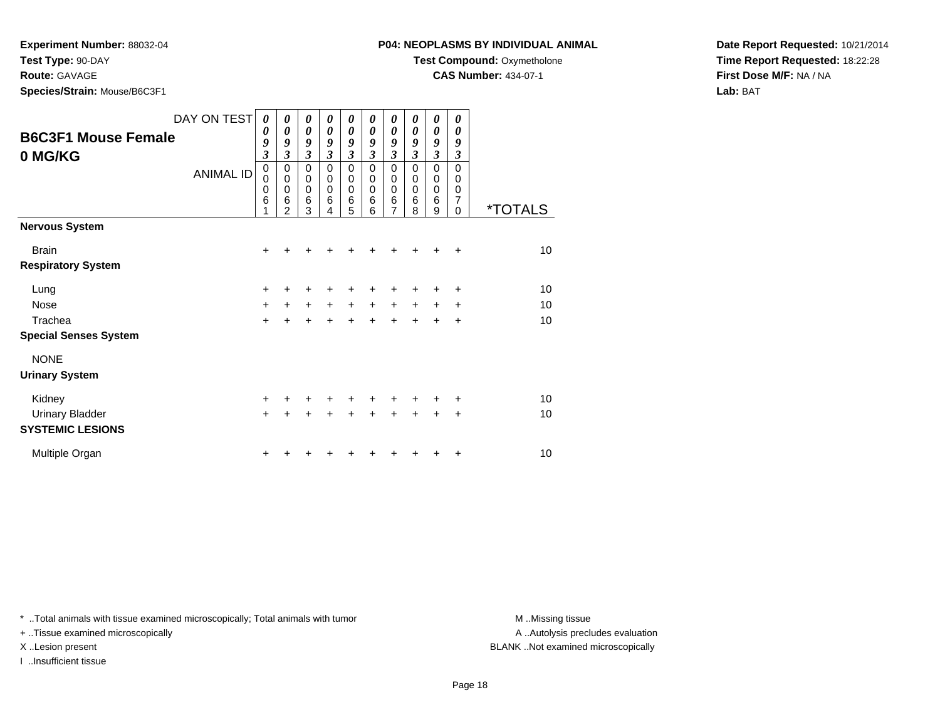**Experiment Number:** 88032-04

**Test Type:** 90-DAY

### **Route:** GAVAGE

**Species/Strain:** Mouse/B6C3F1

**Test Compound:** Oxymetholone

**CAS Number:** 434-07-1

**Date Report Requested:** 10/21/2014**Time Report Requested:** 18:22:28**First Dose M/F:** NA / NA**Lab:** BAT

| <b>B6C3F1 Mouse Female</b><br>0 MG/KG | DAY ON TEST<br><b>ANIMAL ID</b> | 0<br>0<br>9<br>$\overline{\mathbf{3}}$<br>$\mathbf 0$<br>$\mathbf 0$<br>$\mathbf 0$<br>6<br>1 | 0<br>0<br>9<br>$\mathfrak{z}$<br>0<br>$\mathbf 0$<br>$\mathbf 0$<br>$\,6$<br>$\overline{2}$ | 0<br>0<br>9<br>$\mathfrak{z}$<br>0<br>$\mathbf 0$<br>$\mathbf 0$<br>6<br>3 | 0<br>0<br>9<br>$\mathfrak{z}$<br>$\mathbf 0$<br>0<br>$\mathbf 0$<br>6<br>4 | 0<br>$\boldsymbol{\theta}$<br>9<br>$\mathfrak{z}$<br>0<br>0<br>$\mathbf 0$<br>6<br>5 | 0<br>0<br>9<br>$\mathfrak{z}$<br>$\Omega$<br>0<br>$\Omega$<br>6<br>6 | 0<br>0<br>9<br>$\mathfrak{z}$<br>$\mathbf 0$<br>0<br>$\mathbf 0$<br>6<br>7 | 0<br>0<br>9<br>$\mathfrak{z}$<br>0<br>0<br>$\mathbf 0$<br>6<br>8 | 0<br>0<br>9<br>$\mathfrak{z}$<br>0<br>0<br>0<br>6<br>9 | 0<br>0<br>9<br>3<br>$\mathbf 0$<br>0<br>0<br>7<br>0 | <i><b>*TOTALS</b></i> |
|---------------------------------------|---------------------------------|-----------------------------------------------------------------------------------------------|---------------------------------------------------------------------------------------------|----------------------------------------------------------------------------|----------------------------------------------------------------------------|--------------------------------------------------------------------------------------|----------------------------------------------------------------------|----------------------------------------------------------------------------|------------------------------------------------------------------|--------------------------------------------------------|-----------------------------------------------------|-----------------------|
| <b>Nervous System</b>                 |                                 |                                                                                               |                                                                                             |                                                                            |                                                                            |                                                                                      |                                                                      |                                                                            |                                                                  |                                                        |                                                     |                       |
| <b>Brain</b>                          |                                 | $\ddot{}$                                                                                     |                                                                                             |                                                                            |                                                                            |                                                                                      |                                                                      | +                                                                          |                                                                  |                                                        | $\ddot{}$                                           | 10                    |
| <b>Respiratory System</b>             |                                 |                                                                                               |                                                                                             |                                                                            |                                                                            |                                                                                      |                                                                      |                                                                            |                                                                  |                                                        |                                                     |                       |
| Lung                                  |                                 | $\ddot{}$                                                                                     |                                                                                             |                                                                            |                                                                            | +                                                                                    |                                                                      |                                                                            |                                                                  |                                                        | ٠                                                   | 10                    |
| Nose                                  |                                 | $\ddot{}$                                                                                     | $\ddot{}$                                                                                   | $\ddot{}$                                                                  | $\ddot{}$                                                                  | $\ddot{}$                                                                            | $\ddot{}$                                                            | $\ddot{}$                                                                  | $\ddot{}$                                                        | $\ddot{}$                                              | +                                                   | 10                    |
| Trachea                               |                                 | $\ddot{}$                                                                                     |                                                                                             | $\ddot{}$                                                                  | $\ddot{}$                                                                  | $\ddot{}$                                                                            | $\ddot{}$                                                            | $\ddot{}$                                                                  | $+$                                                              | $\ddot{}$                                              | $\ddot{}$                                           | 10                    |
| <b>Special Senses System</b>          |                                 |                                                                                               |                                                                                             |                                                                            |                                                                            |                                                                                      |                                                                      |                                                                            |                                                                  |                                                        |                                                     |                       |
| <b>NONE</b>                           |                                 |                                                                                               |                                                                                             |                                                                            |                                                                            |                                                                                      |                                                                      |                                                                            |                                                                  |                                                        |                                                     |                       |
| <b>Urinary System</b>                 |                                 |                                                                                               |                                                                                             |                                                                            |                                                                            |                                                                                      |                                                                      |                                                                            |                                                                  |                                                        |                                                     |                       |
| Kidney                                |                                 | $\ddot{}$                                                                                     |                                                                                             |                                                                            |                                                                            | +                                                                                    | +                                                                    | +                                                                          |                                                                  | ÷                                                      | ÷                                                   | 10                    |
| <b>Urinary Bladder</b>                |                                 | $\ddot{}$                                                                                     |                                                                                             |                                                                            |                                                                            | +                                                                                    | ÷                                                                    | $\ddot{}$                                                                  | $\ddot{}$                                                        | $\ddot{}$                                              | $\ddot{}$                                           | 10                    |
| <b>SYSTEMIC LESIONS</b>               |                                 |                                                                                               |                                                                                             |                                                                            |                                                                            |                                                                                      |                                                                      |                                                                            |                                                                  |                                                        |                                                     |                       |
| Multiple Organ                        |                                 | +                                                                                             |                                                                                             |                                                                            |                                                                            |                                                                                      |                                                                      |                                                                            |                                                                  |                                                        | ÷                                                   | 10                    |

\* ..Total animals with tissue examined microscopically; Total animals with tumor **M** . Missing tissue M ..Missing tissue

+ ..Tissue examined microscopically

I ..Insufficient tissue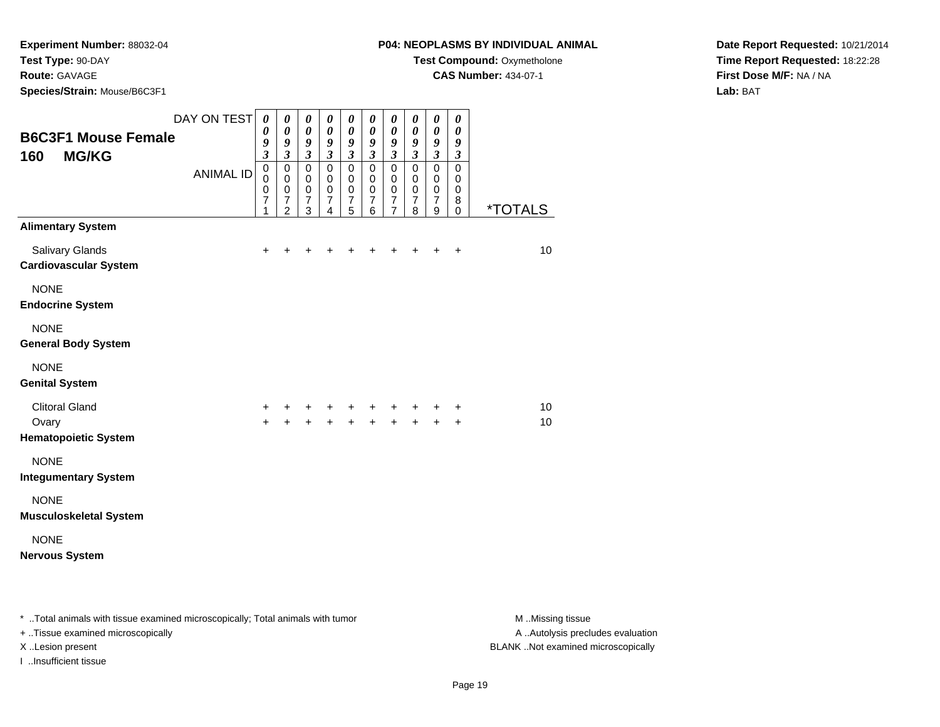### **Route:** GAVAGE

**Species/Strain:** Mouse/B6C3F1

### **P04: NEOPLASMS BY INDIVIDUAL ANIMAL**

**Test Compound:** Oxymetholone

**CAS Number:** 434-07-1

**Date Report Requested:** 10/21/2014**Time Report Requested:** 18:22:28**First Dose M/F:** NA / NA**Lab:** BAT

| <b>B6C3F1 Mouse Female</b><br><b>MG/KG</b><br>160             | DAY ON TEST<br><b>ANIMAL ID</b> | $\pmb{\theta}$<br>0<br>9<br>$\overline{\mathbf{3}}$<br>$\mathsf 0$ | 0<br>0<br>9<br>$\overline{\mathbf{3}}$<br>0 | $\boldsymbol{\theta}$<br>$\boldsymbol{\theta}$<br>9<br>$\mathfrak{z}$<br>$\mathbf 0$ | $\pmb{\theta}$<br>$\boldsymbol{\theta}$<br>9<br>$\mathfrak{z}$<br>$\mathbf 0$ | $\boldsymbol{\theta}$<br>$\boldsymbol{\theta}$<br>9<br>$\mathfrak{z}$<br>$\mathbf 0$ | $\boldsymbol{\theta}$<br>$\boldsymbol{\theta}$<br>9<br>$\mathfrak{z}$<br>$\mathsf 0$ | $\boldsymbol{\theta}$<br>$\boldsymbol{\theta}$<br>9<br>$\mathfrak{z}$<br>$\mathsf 0$ | $\boldsymbol{\theta}$<br>0<br>9<br>$\mathfrak{z}$<br>$\mathsf 0$ | $\pmb{\theta}$<br>$\boldsymbol{\theta}$<br>9<br>$\mathfrak{z}$<br>$\overline{0}$ | $\boldsymbol{\theta}$<br>$\boldsymbol{\theta}$<br>9<br>$\mathfrak{z}$<br>$\mathbf 0$ |                       |
|---------------------------------------------------------------|---------------------------------|--------------------------------------------------------------------|---------------------------------------------|--------------------------------------------------------------------------------------|-------------------------------------------------------------------------------|--------------------------------------------------------------------------------------|--------------------------------------------------------------------------------------|--------------------------------------------------------------------------------------|------------------------------------------------------------------|----------------------------------------------------------------------------------|--------------------------------------------------------------------------------------|-----------------------|
|                                                               |                                 | $\mathbf 0$<br>0<br>$\overline{7}$<br>1                            | 0<br>0<br>$\overline{7}$<br>$\overline{2}$  | $\mathbf 0$<br>$\mathbf 0$<br>$\overline{7}$<br>3                                    | $\mathbf 0$<br>$\mathbf 0$<br>$\boldsymbol{7}$<br>4                           | $\mathbf 0$<br>$\mathbf 0$<br>$\overline{7}$<br>5                                    | $\mathbf 0$<br>$\mathbf 0$<br>$\overline{7}$<br>6                                    | $\mathbf 0$<br>$\mathbf 0$<br>$\overline{7}$<br>$\overline{7}$                       | $\pmb{0}$<br>$\pmb{0}$<br>$\overline{7}$<br>8                    | $\pmb{0}$<br>$\mathbf 0$<br>$\overline{7}$<br>9                                  | $\mathbf 0$<br>$\mathbf 0$<br>8<br>$\mathbf 0$                                       | <i><b>*TOTALS</b></i> |
| <b>Alimentary System</b>                                      |                                 |                                                                    |                                             |                                                                                      |                                                                               |                                                                                      |                                                                                      |                                                                                      |                                                                  |                                                                                  |                                                                                      |                       |
| Salivary Glands<br><b>Cardiovascular System</b>               |                                 | $\ddot{}$                                                          | +                                           | +                                                                                    | ٠                                                                             | ٠                                                                                    |                                                                                      |                                                                                      | +                                                                | +                                                                                | $\ddot{}$                                                                            | 10                    |
| <b>NONE</b><br><b>Endocrine System</b>                        |                                 |                                                                    |                                             |                                                                                      |                                                                               |                                                                                      |                                                                                      |                                                                                      |                                                                  |                                                                                  |                                                                                      |                       |
| <b>NONE</b><br><b>General Body System</b>                     |                                 |                                                                    |                                             |                                                                                      |                                                                               |                                                                                      |                                                                                      |                                                                                      |                                                                  |                                                                                  |                                                                                      |                       |
| <b>NONE</b><br><b>Genital System</b>                          |                                 |                                                                    |                                             |                                                                                      |                                                                               |                                                                                      |                                                                                      |                                                                                      |                                                                  |                                                                                  |                                                                                      |                       |
| <b>Clitoral Gland</b><br>Ovary<br><b>Hematopoietic System</b> |                                 | +<br>$+$                                                           | +<br>$\ddot{}$                              | ٠<br>$\ddot{}$                                                                       | +<br>$+$                                                                      | +<br>$+$                                                                             | +<br>$+$                                                                             | +<br>$+$                                                                             | ٠<br>$+$                                                         | ٠<br>$+$                                                                         | $\ddot{}$<br>$\ddot{}$                                                               | 10<br>10              |
| <b>NONE</b><br><b>Integumentary System</b>                    |                                 |                                                                    |                                             |                                                                                      |                                                                               |                                                                                      |                                                                                      |                                                                                      |                                                                  |                                                                                  |                                                                                      |                       |
| <b>NONE</b><br><b>Musculoskeletal System</b>                  |                                 |                                                                    |                                             |                                                                                      |                                                                               |                                                                                      |                                                                                      |                                                                                      |                                                                  |                                                                                  |                                                                                      |                       |
| <b>NONE</b><br><b>Nervous System</b>                          |                                 |                                                                    |                                             |                                                                                      |                                                                               |                                                                                      |                                                                                      |                                                                                      |                                                                  |                                                                                  |                                                                                      |                       |
|                                                               |                                 |                                                                    |                                             |                                                                                      |                                                                               |                                                                                      |                                                                                      |                                                                                      |                                                                  |                                                                                  |                                                                                      |                       |

\* ..Total animals with tissue examined microscopically; Total animals with tumor **M** . Missing tissue M ..Missing tissue + ..Tissue examined microscopically

I ..Insufficient tissue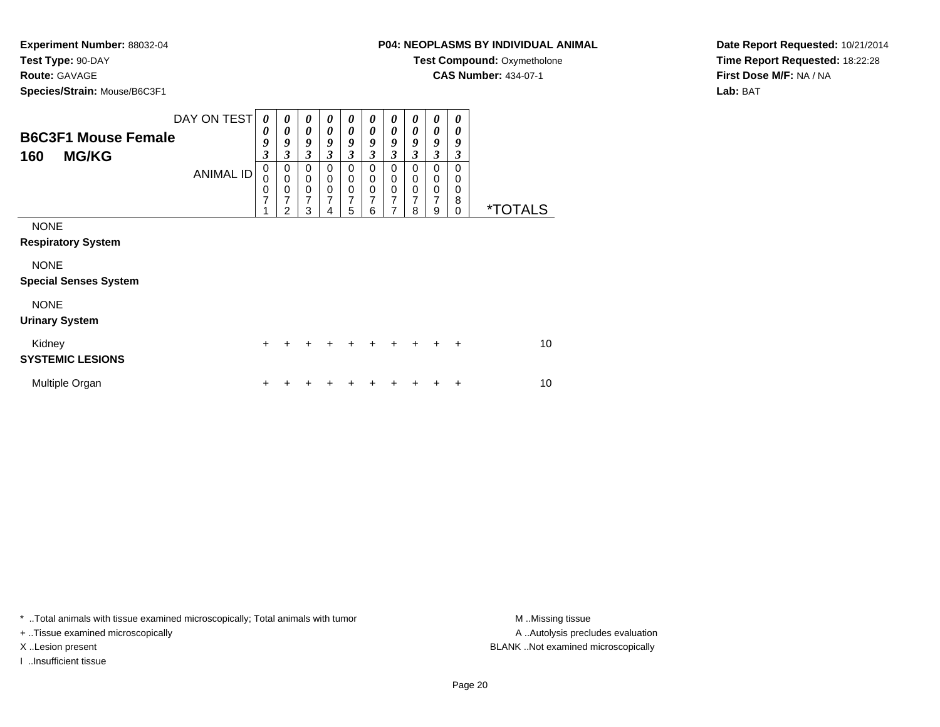#### **Route:** GAVAGE

**Species/Strain:** Mouse/B6C3F1

### **P04: NEOPLASMS BY INDIVIDUAL ANIMAL**

**Test Compound:** Oxymetholone

**CAS Number:** 434-07-1

**Date Report Requested:** 10/21/2014**Time Report Requested:** 18:22:28**First Dose M/F:** NA / NA**Lab:** BAT

| <b>B6C3F1 Mouse Female</b><br><b>MG/KG</b><br>160 | DAY ON TEST<br><b>ANIMAL ID</b> | 0<br>0<br>9<br>3<br>$\mathbf 0$<br>0<br>0<br>7<br>1 | 0<br>0<br>9<br>3<br>0<br>$\mathbf 0$<br>0<br>7<br>$\overline{2}$ | 0<br>$\boldsymbol{\theta}$<br>9<br>$\overline{\mathbf{3}}$<br>0<br>$\mathbf 0$<br>$\mathbf 0$<br>$\overline{7}$<br>3 | 0<br>0<br>9<br>3<br>0<br>0<br>$\mathbf 0$<br>7<br>4 | $\boldsymbol{\theta}$<br>$\boldsymbol{\theta}$<br>9<br>$\mathfrak{z}$<br>$\mathbf 0$<br>0<br>$\boldsymbol{0}$<br>$\overline{7}$<br>$\overline{5}$ | 0<br>0<br>9<br>3<br>0<br>$\mathbf 0$<br>$\pmb{0}$<br>$\overline{7}$<br>6 | 0<br>0<br>9<br>$\mathfrak{z}$<br>0<br>0<br>$\mathbf 0$<br>$\overline{7}$<br>7 | 0<br>0<br>9<br>3<br>0<br>0<br>$\mathbf 0$<br>7<br>8 | 0<br>0<br>9<br>$\mathfrak{z}$<br>0<br>0<br>$\mathbf 0$<br>$\overline{7}$<br>9 | 0<br>0<br>9<br>3<br>$\Omega$<br>0<br>0<br>8<br>0 | <i><b>*TOTALS</b></i> |
|---------------------------------------------------|---------------------------------|-----------------------------------------------------|------------------------------------------------------------------|----------------------------------------------------------------------------------------------------------------------|-----------------------------------------------------|---------------------------------------------------------------------------------------------------------------------------------------------------|--------------------------------------------------------------------------|-------------------------------------------------------------------------------|-----------------------------------------------------|-------------------------------------------------------------------------------|--------------------------------------------------|-----------------------|
| <b>NONE</b><br><b>Respiratory System</b>          |                                 |                                                     |                                                                  |                                                                                                                      |                                                     |                                                                                                                                                   |                                                                          |                                                                               |                                                     |                                                                               |                                                  |                       |
| <b>NONE</b><br><b>Special Senses System</b>       |                                 |                                                     |                                                                  |                                                                                                                      |                                                     |                                                                                                                                                   |                                                                          |                                                                               |                                                     |                                                                               |                                                  |                       |
| <b>NONE</b><br><b>Urinary System</b>              |                                 |                                                     |                                                                  |                                                                                                                      |                                                     |                                                                                                                                                   |                                                                          |                                                                               |                                                     |                                                                               |                                                  |                       |
| Kidney<br><b>SYSTEMIC LESIONS</b>                 |                                 | $+$                                                 | +                                                                | ÷                                                                                                                    | +                                                   | ٠                                                                                                                                                 | +                                                                        | $\ddot{}$                                                                     | $\ddot{}$                                           | $\pm$                                                                         | $\ddot{+}$                                       | 10                    |
| Multiple Organ                                    |                                 | ٠                                                   |                                                                  |                                                                                                                      |                                                     | ٠                                                                                                                                                 |                                                                          |                                                                               |                                                     |                                                                               | ÷                                                | 10                    |

\* ..Total animals with tissue examined microscopically; Total animals with tumor **M** . Missing tissue M ..Missing tissue

+ ..Tissue examined microscopically

I ..Insufficient tissue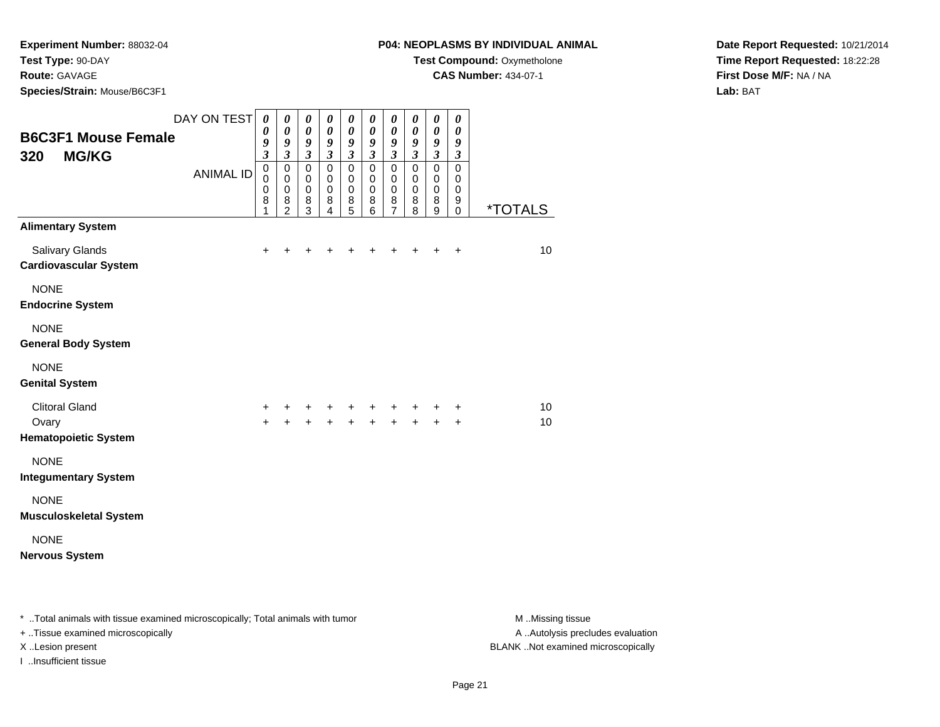### **Route:** GAVAGE

**Species/Strain:** Mouse/B6C3F1

### **P04: NEOPLASMS BY INDIVIDUAL ANIMAL**

**Test Compound:** Oxymetholone

**CAS Number:** 434-07-1

**Date Report Requested:** 10/21/2014**Time Report Requested:** 18:22:28**First Dose M/F:** NA / NA**Lab:** BAT

| <b>B6C3F1 Mouse Female</b>                                    | DAY ON TEST      | 0<br>0<br>9<br>$\overline{\mathbf{3}}$ | 0<br>0<br>9<br>$\mathfrak{z}$                                    | 0<br>0<br>9<br>$\overline{\mathbf{3}}$              | 0<br>$\boldsymbol{\theta}$<br>9<br>$\mathfrak{z}$ | $\pmb{\theta}$<br>$\boldsymbol{\theta}$<br>9<br>$\overline{\mathbf{3}}$ | $\boldsymbol{\theta}$<br>$\boldsymbol{\theta}$<br>9<br>$\mathfrak{z}$ | $\boldsymbol{\theta}$<br>$\boldsymbol{\theta}$<br>$\boldsymbol{g}$<br>$\mathfrak{z}$ | $\boldsymbol{\theta}$<br>0<br>9<br>$\overline{\mathbf{3}}$ | $\boldsymbol{\theta}$<br>$\boldsymbol{\theta}$<br>$\boldsymbol{g}$<br>$\overline{\mathbf{3}}$ | $\boldsymbol{\theta}$<br>0<br>9<br>$\mathfrak{z}$    |                       |
|---------------------------------------------------------------|------------------|----------------------------------------|------------------------------------------------------------------|-----------------------------------------------------|---------------------------------------------------|-------------------------------------------------------------------------|-----------------------------------------------------------------------|--------------------------------------------------------------------------------------|------------------------------------------------------------|-----------------------------------------------------------------------------------------------|------------------------------------------------------|-----------------------|
| <b>MG/KG</b><br>320                                           | <b>ANIMAL ID</b> | $\mathsf 0$<br>0<br>0<br>8<br>1        | $\mathsf 0$<br>$\mathbf 0$<br>$\mathbf 0$<br>8<br>$\overline{2}$ | $\mathbf 0$<br>$\mathbf 0$<br>$\mathbf 0$<br>8<br>3 | $\mathbf 0$<br>$\mathbf 0$<br>$\pmb{0}$<br>8<br>4 | $\mathbf 0$<br>$\mathbf 0$<br>$\mathbf 0$<br>8<br>5                     | $\pmb{0}$<br>$\mathbf 0$<br>$\mathbf 0$<br>8<br>6                     | $\mathbf 0$<br>$\mathbf 0$<br>$\mathbf 0$<br>8<br>$\overline{7}$                     | $\overline{0}$<br>$\mathbf 0$<br>$\mathbf 0$<br>8<br>8     | $\overline{0}$<br>$\mathbf 0$<br>$\mathbf 0$<br>8<br>9                                        | $\overline{0}$<br>$\mathbf 0$<br>$\pmb{0}$<br>9<br>0 | <i><b>*TOTALS</b></i> |
| <b>Alimentary System</b>                                      |                  |                                        |                                                                  |                                                     |                                                   |                                                                         |                                                                       |                                                                                      |                                                            |                                                                                               |                                                      |                       |
| <b>Salivary Glands</b><br><b>Cardiovascular System</b>        |                  | $+$                                    | +                                                                |                                                     | +                                                 | +                                                                       | +                                                                     | +                                                                                    |                                                            | $\ddot{}$                                                                                     | $\ddot{}$                                            | 10                    |
| <b>NONE</b><br><b>Endocrine System</b>                        |                  |                                        |                                                                  |                                                     |                                                   |                                                                         |                                                                       |                                                                                      |                                                            |                                                                                               |                                                      |                       |
| <b>NONE</b><br><b>General Body System</b>                     |                  |                                        |                                                                  |                                                     |                                                   |                                                                         |                                                                       |                                                                                      |                                                            |                                                                                               |                                                      |                       |
| <b>NONE</b><br><b>Genital System</b>                          |                  |                                        |                                                                  |                                                     |                                                   |                                                                         |                                                                       |                                                                                      |                                                            |                                                                                               |                                                      |                       |
| <b>Clitoral Gland</b><br>Ovary<br><b>Hematopoietic System</b> |                  | +<br>$+$                               | ÷<br>$\ddot{}$                                                   | ÷<br>$\ddot{}$                                      | ٠<br>$\ddot{}$                                    | $\ddot{}$<br>$\ddot{}$                                                  | ٠<br>$+$                                                              | $\pm$<br>$+$                                                                         | $+$                                                        | +<br>$+$                                                                                      | +<br>$\pm$                                           | 10<br>10              |
| <b>NONE</b><br><b>Integumentary System</b>                    |                  |                                        |                                                                  |                                                     |                                                   |                                                                         |                                                                       |                                                                                      |                                                            |                                                                                               |                                                      |                       |
| <b>NONE</b><br><b>Musculoskeletal System</b>                  |                  |                                        |                                                                  |                                                     |                                                   |                                                                         |                                                                       |                                                                                      |                                                            |                                                                                               |                                                      |                       |
| <b>NONE</b><br><b>Nervous System</b>                          |                  |                                        |                                                                  |                                                     |                                                   |                                                                         |                                                                       |                                                                                      |                                                            |                                                                                               |                                                      |                       |
|                                                               |                  |                                        |                                                                  |                                                     |                                                   |                                                                         |                                                                       |                                                                                      |                                                            |                                                                                               |                                                      |                       |

\* ..Total animals with tissue examined microscopically; Total animals with tumor **M** . Missing tissue M ..Missing tissue + ..Tissue examined microscopically X ..Lesion present BLANK ..Not examined microscopically

I ..Insufficient tissue

A ..Autolysis precludes evaluation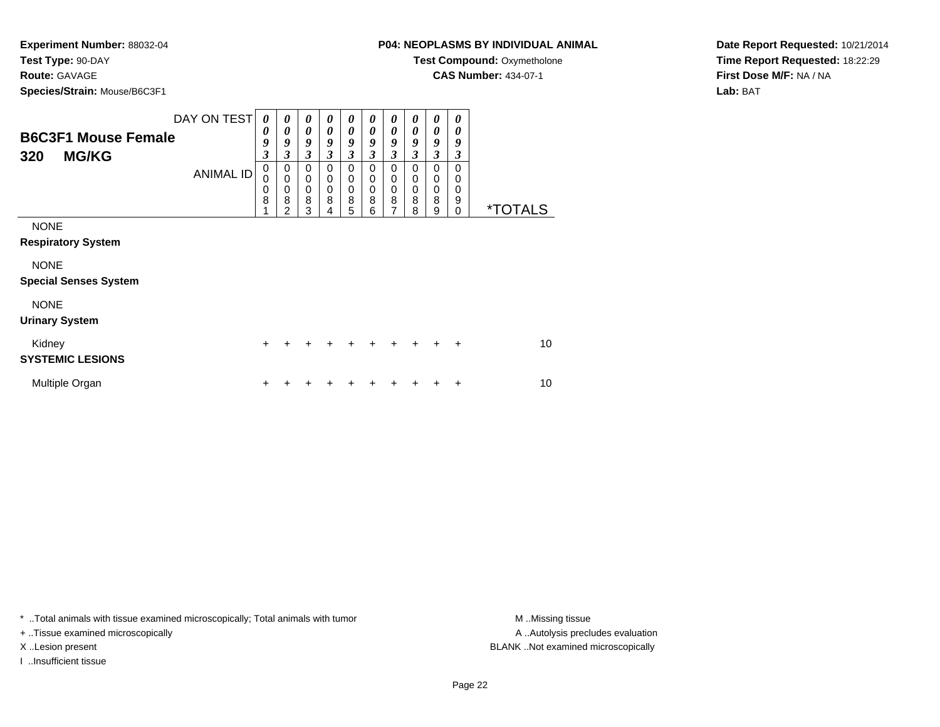### **Route:** GAVAGE

**Species/Strain:** Mouse/B6C3F1

### **P04: NEOPLASMS BY INDIVIDUAL ANIMAL**

**Test Compound:** Oxymetholone

**CAS Number:** 434-07-1

**Date Report Requested:** 10/21/2014**Time Report Requested:** 18:22:29**First Dose M/F:** NA / NA**Lab:** BAT

| <b>B6C3F1 Mouse Female</b><br><b>MG/KG</b><br>320 | DAY ON TEST<br><b>ANIMAL ID</b> | 0<br>0<br>9<br>3<br>$\mathbf 0$<br>0<br>0<br>8<br>1 | 0<br>0<br>9<br>3<br>$\pmb{0}$<br>$\mathbf 0$<br>$\pmb{0}$<br>8<br>$\overline{2}$ | $\boldsymbol{\theta}$<br>0<br>9<br>$\mathfrak{z}$<br>$\mathbf 0$<br>$\mathbf 0$<br>$\mathbf 0$<br>8<br>3 | 0<br>0<br>9<br>3<br>$\mathbf 0$<br>$\mathbf 0$<br>$\mathbf 0$<br>8<br>4 | $\boldsymbol{\theta}$<br>$\boldsymbol{\theta}$<br>9<br>$\mathfrak{z}$<br>$\mathbf 0$<br>0<br>$\pmb{0}$<br>$\bf8$<br>5 | 0<br>0<br>9<br>3<br>$\mathbf 0$<br>$\mathbf 0$<br>$\mathbf 0$<br>8<br>6 | 0<br>$\boldsymbol{\theta}$<br>9<br>$\mathfrak{z}$<br>$\mathbf 0$<br>$\mathbf 0$<br>$\mathbf 0$<br>8<br>$\overline{7}$ | $\boldsymbol{\theta}$<br>0<br>9<br>3<br>$\mathbf 0$<br>$\mathbf 0$<br>$\mathbf 0$<br>8<br>8 | $\boldsymbol{\theta}$<br>$\boldsymbol{\theta}$<br>9<br>$\boldsymbol{\beta}$<br>$\mathbf 0$<br>$\mathbf 0$<br>$\mathbf 0$<br>8<br>$\boldsymbol{9}$ | 0<br>$\boldsymbol{\theta}$<br>9<br>3<br>$\Omega$<br>0<br>$\mathbf 0$<br>9<br>$\Omega$ | <i><b>*TOTALS</b></i> |
|---------------------------------------------------|---------------------------------|-----------------------------------------------------|----------------------------------------------------------------------------------|----------------------------------------------------------------------------------------------------------|-------------------------------------------------------------------------|-----------------------------------------------------------------------------------------------------------------------|-------------------------------------------------------------------------|-----------------------------------------------------------------------------------------------------------------------|---------------------------------------------------------------------------------------------|---------------------------------------------------------------------------------------------------------------------------------------------------|---------------------------------------------------------------------------------------|-----------------------|
| <b>NONE</b><br><b>Respiratory System</b>          |                                 |                                                     |                                                                                  |                                                                                                          |                                                                         |                                                                                                                       |                                                                         |                                                                                                                       |                                                                                             |                                                                                                                                                   |                                                                                       |                       |
| <b>NONE</b><br><b>Special Senses System</b>       |                                 |                                                     |                                                                                  |                                                                                                          |                                                                         |                                                                                                                       |                                                                         |                                                                                                                       |                                                                                             |                                                                                                                                                   |                                                                                       |                       |
| <b>NONE</b><br><b>Urinary System</b>              |                                 |                                                     |                                                                                  |                                                                                                          |                                                                         |                                                                                                                       |                                                                         |                                                                                                                       |                                                                                             |                                                                                                                                                   |                                                                                       |                       |
| Kidney<br><b>SYSTEMIC LESIONS</b>                 |                                 | $\ddot{}$                                           |                                                                                  | +                                                                                                        | +                                                                       | +                                                                                                                     | +                                                                       | +                                                                                                                     | $\ddot{}$                                                                                   | $\ddot{}$                                                                                                                                         | $\ddot{}$                                                                             | 10                    |
| Multiple Organ                                    |                                 | $\ddot{}$                                           |                                                                                  |                                                                                                          |                                                                         |                                                                                                                       |                                                                         |                                                                                                                       |                                                                                             |                                                                                                                                                   | +                                                                                     | 10                    |

\* ..Total animals with tissue examined microscopically; Total animals with tumor **M** . Missing tissue M ..Missing tissue

+ ..Tissue examined microscopically

I ..Insufficient tissue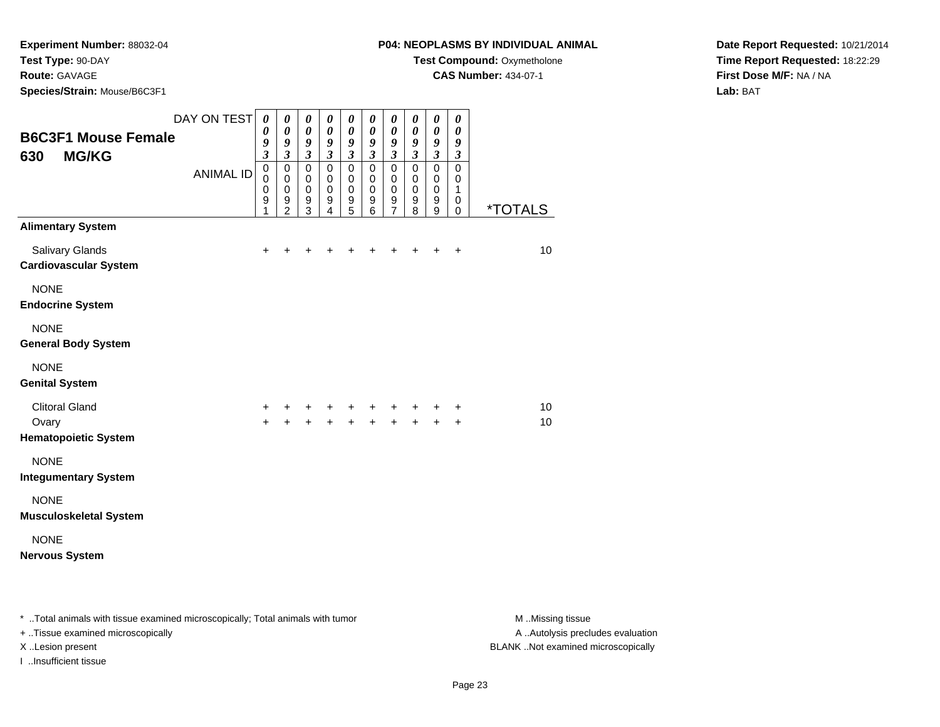### **Route:** GAVAGE

**Species/Strain:** Mouse/B6C3F1

### **P04: NEOPLASMS BY INDIVIDUAL ANIMAL**

**Test Compound:** Oxymetholone

**CAS Number:** 434-07-1

**Date Report Requested:** 10/21/2014**Time Report Requested:** 18:22:29**First Dose M/F:** NA / NA**Lab:** BAT

| <b>B6C3F1 Mouse Female</b><br><b>MG/KG</b><br>630             | DAY ON TEST      | 0<br>0<br>9<br>$\overline{\mathbf{3}}$ | 0<br>0<br>9<br>$\overline{\mathbf{3}}$       | 0<br>0<br>9<br>$\overline{\mathbf{3}}$              | 0<br>$\boldsymbol{\theta}$<br>9<br>$\mathfrak{z}$   | $\pmb{\theta}$<br>0<br>9<br>$\mathfrak{z}$          | $\boldsymbol{\theta}$<br>$\boldsymbol{\theta}$<br>9<br>$\mathfrak{z}$ | $\boldsymbol{\theta}$<br>0<br>9<br>$\mathfrak{z}$                | $\pmb{\theta}$<br>0<br>9<br>$\mathfrak{z}$                         | $\boldsymbol{\theta}$<br>$\boldsymbol{\theta}$<br>$\boldsymbol{g}$<br>$\mathfrak{z}$ | $\boldsymbol{\theta}$<br>0<br>9<br>$\mathfrak{z}$ |                       |
|---------------------------------------------------------------|------------------|----------------------------------------|----------------------------------------------|-----------------------------------------------------|-----------------------------------------------------|-----------------------------------------------------|-----------------------------------------------------------------------|------------------------------------------------------------------|--------------------------------------------------------------------|--------------------------------------------------------------------------------------|---------------------------------------------------|-----------------------|
|                                                               | <b>ANIMAL ID</b> | $\pmb{0}$<br>0<br>0<br>9<br>1          | $\mathsf 0$<br>0<br>0<br>9<br>$\overline{2}$ | $\mathbf 0$<br>$\mathbf 0$<br>$\mathbf 0$<br>9<br>3 | $\mathbf 0$<br>$\mathbf 0$<br>$\mathbf 0$<br>9<br>4 | $\mathbf 0$<br>$\mathbf 0$<br>$\mathbf 0$<br>9<br>5 | $\mathbf 0$<br>$\mathbf 0$<br>$\mathbf 0$<br>9<br>6                   | $\mathbf 0$<br>$\mathbf 0$<br>$\mathbf 0$<br>9<br>$\overline{7}$ | $\mathsf 0$<br>$\mathbf 0$<br>$\mathbf 0$<br>$\boldsymbol{9}$<br>8 | $\pmb{0}$<br>$\mathbf 0$<br>$\mathbf 0$<br>$\boldsymbol{9}$<br>9                     | $\mathbf 0$<br>$\mathbf 0$<br>1<br>0<br>0         | <i><b>*TOTALS</b></i> |
| <b>Alimentary System</b>                                      |                  |                                        |                                              |                                                     |                                                     |                                                     |                                                                       |                                                                  |                                                                    |                                                                                      |                                                   |                       |
| Salivary Glands<br><b>Cardiovascular System</b>               |                  | $+$                                    | ÷                                            |                                                     | +                                                   | ٠                                                   | +                                                                     |                                                                  |                                                                    | $\div$                                                                               | $\ddot{}$                                         | 10                    |
| <b>NONE</b><br><b>Endocrine System</b>                        |                  |                                        |                                              |                                                     |                                                     |                                                     |                                                                       |                                                                  |                                                                    |                                                                                      |                                                   |                       |
| <b>NONE</b><br><b>General Body System</b>                     |                  |                                        |                                              |                                                     |                                                     |                                                     |                                                                       |                                                                  |                                                                    |                                                                                      |                                                   |                       |
| <b>NONE</b><br><b>Genital System</b>                          |                  |                                        |                                              |                                                     |                                                     |                                                     |                                                                       |                                                                  |                                                                    |                                                                                      |                                                   |                       |
| <b>Clitoral Gland</b><br>Ovary<br><b>Hematopoietic System</b> |                  | +<br>$+$                               | +<br>$+$                                     | $\ddot{}$<br>$+$                                    | +<br>$+$                                            | $\ddot{}$<br>$+$                                    | +<br>$+$                                                              | $\ddot{}$<br>$\ddot{}$                                           | $\ddot{}$<br>$+$                                                   | +<br>$+$                                                                             | $\ddot{}$<br>$+$                                  | 10<br>10              |
| <b>NONE</b><br><b>Integumentary System</b>                    |                  |                                        |                                              |                                                     |                                                     |                                                     |                                                                       |                                                                  |                                                                    |                                                                                      |                                                   |                       |
| <b>NONE</b><br><b>Musculoskeletal System</b>                  |                  |                                        |                                              |                                                     |                                                     |                                                     |                                                                       |                                                                  |                                                                    |                                                                                      |                                                   |                       |
| <b>NONE</b><br><b>Nervous System</b>                          |                  |                                        |                                              |                                                     |                                                     |                                                     |                                                                       |                                                                  |                                                                    |                                                                                      |                                                   |                       |
|                                                               |                  |                                        |                                              |                                                     |                                                     |                                                     |                                                                       |                                                                  |                                                                    |                                                                                      |                                                   |                       |

\* ..Total animals with tissue examined microscopically; Total animals with tumor **M** . Missing tissue M ..Missing tissue + ..Tissue examined microscopically X ..Lesion present BLANK ..Not examined microscopically

I ..Insufficient tissue

A ..Autolysis precludes evaluation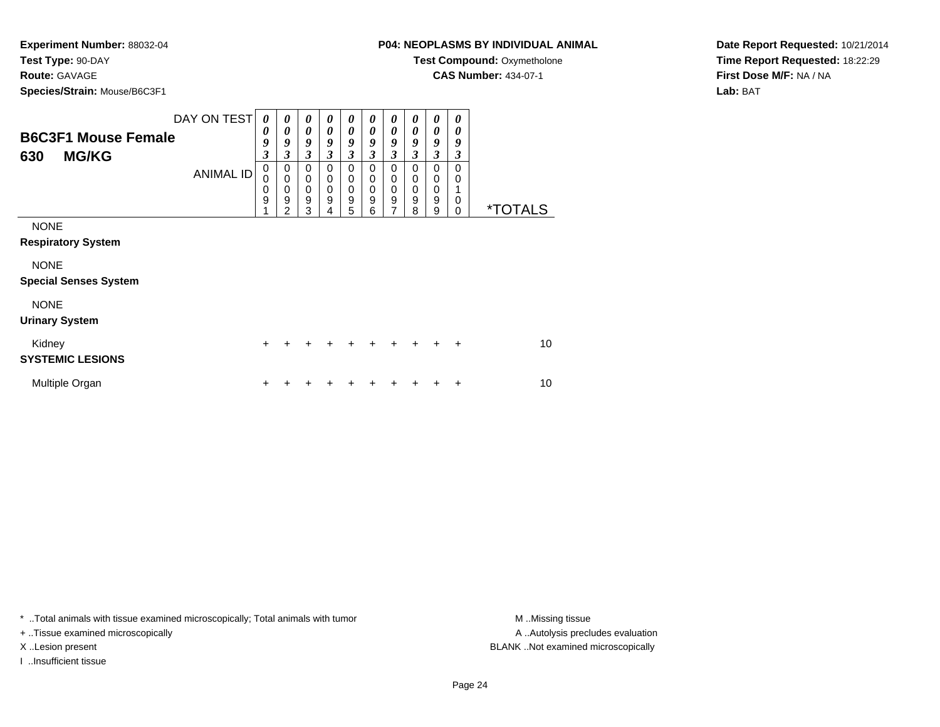### **Route:** GAVAGE

**Species/Strain:** Mouse/B6C3F1

### **P04: NEOPLASMS BY INDIVIDUAL ANIMAL**

**Test Compound:** Oxymetholone

**CAS Number:** 434-07-1

**Date Report Requested:** 10/21/2014**Time Report Requested:** 18:22:29**First Dose M/F:** NA / NA**Lab:** BAT

| <b>B6C3F1 Mouse Female</b><br><b>MG/KG</b><br>630 | DAY ON TEST<br><b>ANIMAL ID</b> | 0<br>0<br>9<br>$\overline{\mathbf{3}}$<br>0<br>0<br>0<br>9 | $\boldsymbol{\theta}$<br>0<br>9<br>3<br>0<br>$\mathbf 0$<br>$\mathbf 0$<br>9<br>$\mathfrak{p}$ | $\boldsymbol{\theta}$<br>$\boldsymbol{\theta}$<br>9<br>$\mathfrak{z}$<br>0<br>$\mathbf 0$<br>$\mathbf 0$<br>$\boldsymbol{9}$<br>3 | $\boldsymbol{\theta}$<br>$\boldsymbol{\theta}$<br>9<br>3<br>0<br>$\mathbf 0$<br>$\mathbf 0$<br>$\mathsf g$<br>4 | $\boldsymbol{\theta}$<br>$\boldsymbol{\theta}$<br>9<br>3<br>0<br>$\mathbf 0$<br>$\pmb{0}$<br>$\boldsymbol{9}$<br>5 | 0<br>0<br>9<br>3<br>0<br>0<br>$\mathbf 0$<br>$\boldsymbol{9}$<br>6 | $\boldsymbol{\theta}$<br>0<br>9<br>$\mathfrak{z}$<br>0<br>$\pmb{0}$<br>$\pmb{0}$<br>$\overline{9}$<br>$\overline{7}$ | 0<br>0<br>9<br>3<br>0<br>0<br>0<br>$\boldsymbol{9}$<br>8 | 0<br>0<br>9<br>3<br>0<br>0<br>$\pmb{0}$<br>$\boldsymbol{9}$<br>9 | 0<br>0<br>9<br>3<br>0<br>0<br>0<br>0 | <i><b>*TOTALS</b></i> |
|---------------------------------------------------|---------------------------------|------------------------------------------------------------|------------------------------------------------------------------------------------------------|-----------------------------------------------------------------------------------------------------------------------------------|-----------------------------------------------------------------------------------------------------------------|--------------------------------------------------------------------------------------------------------------------|--------------------------------------------------------------------|----------------------------------------------------------------------------------------------------------------------|----------------------------------------------------------|------------------------------------------------------------------|--------------------------------------|-----------------------|
| <b>NONE</b><br><b>Respiratory System</b>          |                                 |                                                            |                                                                                                |                                                                                                                                   |                                                                                                                 |                                                                                                                    |                                                                    |                                                                                                                      |                                                          |                                                                  |                                      |                       |
| <b>NONE</b><br><b>Special Senses System</b>       |                                 |                                                            |                                                                                                |                                                                                                                                   |                                                                                                                 |                                                                                                                    |                                                                    |                                                                                                                      |                                                          |                                                                  |                                      |                       |
| <b>NONE</b><br><b>Urinary System</b>              |                                 |                                                            |                                                                                                |                                                                                                                                   |                                                                                                                 |                                                                                                                    |                                                                    |                                                                                                                      |                                                          |                                                                  |                                      |                       |
| Kidney<br><b>SYSTEMIC LESIONS</b>                 |                                 | $\ddot{}$                                                  |                                                                                                |                                                                                                                                   |                                                                                                                 |                                                                                                                    |                                                                    | $+$                                                                                                                  |                                                          | ÷                                                                | $\ddot{}$                            | 10                    |
| Multiple Organ                                    |                                 | +                                                          |                                                                                                |                                                                                                                                   |                                                                                                                 |                                                                                                                    |                                                                    |                                                                                                                      |                                                          |                                                                  | ٠                                    | 10                    |

\* ..Total animals with tissue examined microscopically; Total animals with tumor **M** . Missing tissue M ..Missing tissue

+ ..Tissue examined microscopically

I ..Insufficient tissue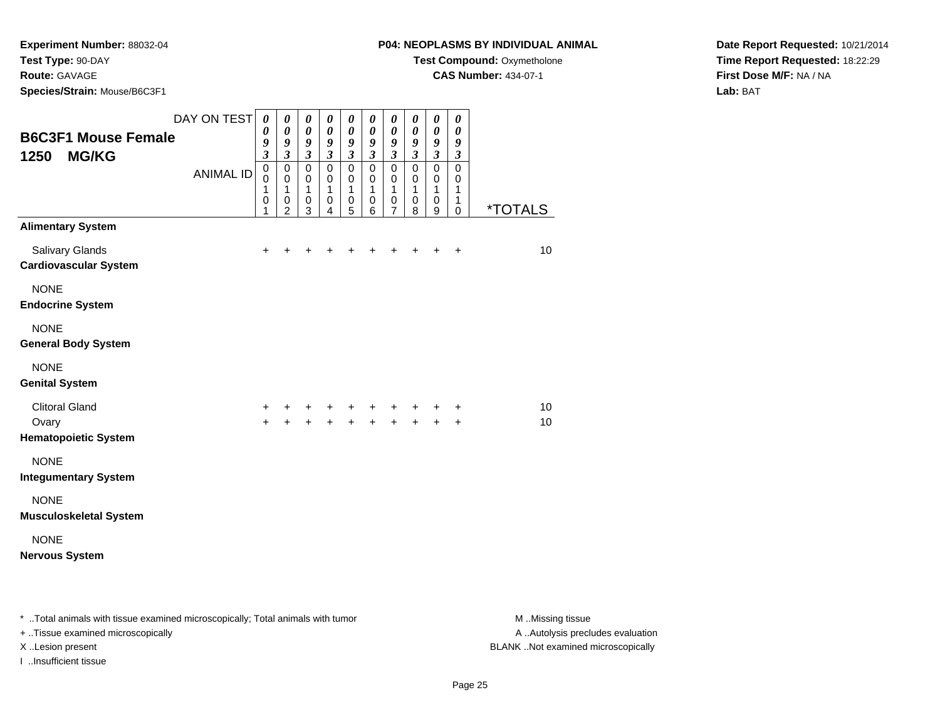**Species/Strain:** Mouse/B6C3F1

### **P04: NEOPLASMS BY INDIVIDUAL ANIMAL**

**Test Compound:** Oxymetholone

**CAS Number:** 434-07-1

**Date Report Requested:** 10/21/2014**Time Report Requested:** 18:22:29**First Dose M/F:** NA / NA**Lab:** BAT

| <b>B6C3F1 Mouse Female</b><br>1250<br><b>MG/KG</b>                                 | DAY ON TEST<br><b>ANIMAL ID</b> | $\boldsymbol{\theta}$<br>0<br>9<br>$\overline{\mathbf{3}}$<br>$\mathbf 0$<br>$\mathbf 0$<br>$\mathbf{1}$<br>0<br>1 | 0<br>$\pmb{\theta}$<br>9<br>$\boldsymbol{\mathfrak{z}}$<br>$\mathbf 0$<br>$\mathbf 0$<br>$\mathbf{1}$<br>0<br>$\overline{2}$ | 0<br>0<br>9<br>$\mathfrak{z}$<br>$\mathbf 0$<br>$\mathbf 0$<br>1<br>0<br>3 | 0<br>$\pmb{\theta}$<br>9<br>$\boldsymbol{\mathfrak{z}}$<br>$\mathbf 0$<br>$\mathbf 0$<br>1<br>0<br>4 | 0<br>0<br>9<br>$\overline{\mathbf{3}}$<br>$\mathbf 0$<br>0<br>1<br>0<br>5 | 0<br>$\boldsymbol{\theta}$<br>9<br>$\mathfrak{z}$<br>$\mathbf 0$<br>$\mathbf 0$<br>1<br>$\mathbf 0$<br>6 | $\pmb{\theta}$<br>0<br>9<br>$\mathfrak{z}$<br>$\mathbf 0$<br>$\mathbf 0$<br>1<br>0<br>$\overline{7}$ | $\boldsymbol{\theta}$<br>0<br>9<br>$\boldsymbol{\beta}$<br>$\mathbf 0$<br>$\mathbf 0$<br>$\mathbf{1}$<br>$\pmb{0}$<br>8 | $\boldsymbol{\theta}$<br>$\boldsymbol{\theta}$<br>$\boldsymbol{g}$<br>$\mathfrak{z}$<br>$\mathbf 0$<br>$\mathbf 0$<br>$\mathbf{1}$<br>$\mathbf 0$<br>9 | $\boldsymbol{\theta}$<br>$\boldsymbol{\theta}$<br>9<br>$\mathfrak{z}$<br>$\mathbf 0$<br>$\pmb{0}$<br>1<br>$\mathbf{1}$<br>$\mathbf 0$ | <i><b>*TOTALS</b></i> |
|------------------------------------------------------------------------------------|---------------------------------|--------------------------------------------------------------------------------------------------------------------|------------------------------------------------------------------------------------------------------------------------------|----------------------------------------------------------------------------|------------------------------------------------------------------------------------------------------|---------------------------------------------------------------------------|----------------------------------------------------------------------------------------------------------|------------------------------------------------------------------------------------------------------|-------------------------------------------------------------------------------------------------------------------------|--------------------------------------------------------------------------------------------------------------------------------------------------------|---------------------------------------------------------------------------------------------------------------------------------------|-----------------------|
| <b>Alimentary System</b><br><b>Salivary Glands</b><br><b>Cardiovascular System</b> |                                 | $\ddot{}$                                                                                                          | $\ddot{}$                                                                                                                    | +                                                                          | ٠                                                                                                    | +                                                                         | ٠                                                                                                        |                                                                                                      |                                                                                                                         | $\ddot{}$                                                                                                                                              | $\ddot{}$                                                                                                                             | 10                    |
| <b>NONE</b><br><b>Endocrine System</b>                                             |                                 |                                                                                                                    |                                                                                                                              |                                                                            |                                                                                                      |                                                                           |                                                                                                          |                                                                                                      |                                                                                                                         |                                                                                                                                                        |                                                                                                                                       |                       |
| <b>NONE</b><br><b>General Body System</b>                                          |                                 |                                                                                                                    |                                                                                                                              |                                                                            |                                                                                                      |                                                                           |                                                                                                          |                                                                                                      |                                                                                                                         |                                                                                                                                                        |                                                                                                                                       |                       |
| <b>NONE</b><br><b>Genital System</b>                                               |                                 |                                                                                                                    |                                                                                                                              |                                                                            |                                                                                                      |                                                                           |                                                                                                          |                                                                                                      |                                                                                                                         |                                                                                                                                                        |                                                                                                                                       |                       |
| <b>Clitoral Gland</b><br>Ovary<br><b>Hematopoietic System</b>                      |                                 | +<br>$+$                                                                                                           | +<br>$+$                                                                                                                     | +<br>$+$                                                                   | +<br>$+$                                                                                             | $\ddot{}$<br>$+$                                                          | $\pm$<br>$+$                                                                                             | $\ddot{}$<br>$\ddot{}$                                                                               | $\pm$<br>$+$                                                                                                            | +<br>$+$                                                                                                                                               | +<br>$\ddot{}$                                                                                                                        | 10<br>10              |
| <b>NONE</b><br><b>Integumentary System</b>                                         |                                 |                                                                                                                    |                                                                                                                              |                                                                            |                                                                                                      |                                                                           |                                                                                                          |                                                                                                      |                                                                                                                         |                                                                                                                                                        |                                                                                                                                       |                       |
| <b>NONE</b><br><b>Musculoskeletal System</b>                                       |                                 |                                                                                                                    |                                                                                                                              |                                                                            |                                                                                                      |                                                                           |                                                                                                          |                                                                                                      |                                                                                                                         |                                                                                                                                                        |                                                                                                                                       |                       |
| <b>NONE</b><br><b>Nervous System</b>                                               |                                 |                                                                                                                    |                                                                                                                              |                                                                            |                                                                                                      |                                                                           |                                                                                                          |                                                                                                      |                                                                                                                         |                                                                                                                                                        |                                                                                                                                       |                       |

\* ..Total animals with tissue examined microscopically; Total animals with tumor **M** . Missing tissue M ..Missing tissue

+ ..Tissue examined microscopically

I ..Insufficient tissue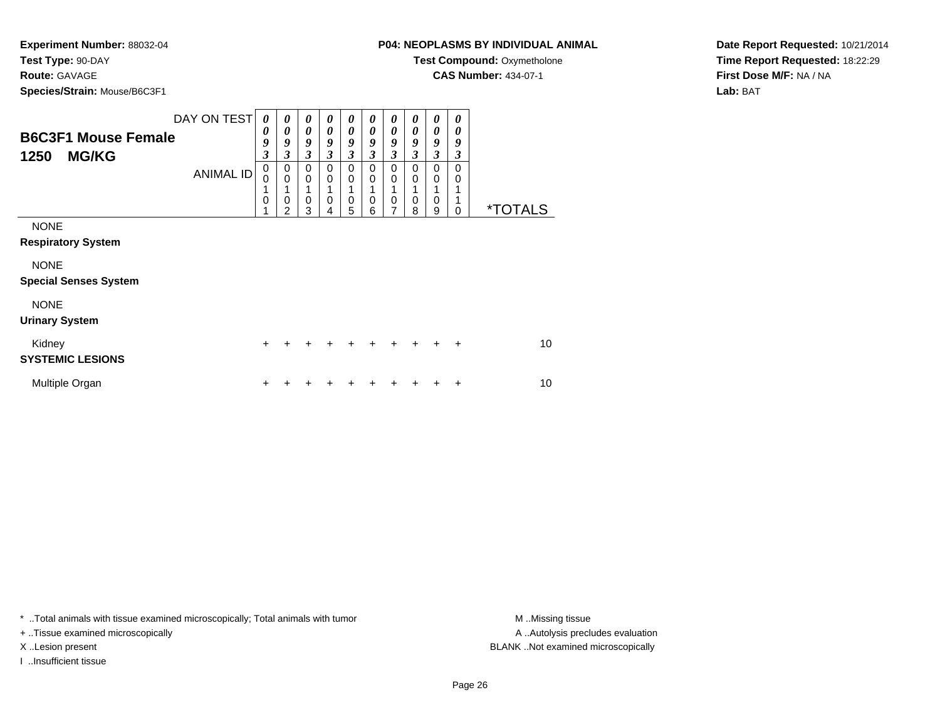**Species/Strain:** Mouse/B6C3F1

**Test Compound: Oxymetholone** 

**CAS Number:** 434-07-1

**Date Report Requested:** 10/21/2014**Time Report Requested:** 18:22:29**First Dose M/F:** NA / NA**Lab:** BAT

| <b>Species/Strain:</b> Mouse/B6C3F1                                                                                             |                                                                 |                                                                                      |                                              |                                                     |                                                                                                                |                                                          |                                                                                                  |                                                   |                                                             |                                        |                       |
|---------------------------------------------------------------------------------------------------------------------------------|-----------------------------------------------------------------|--------------------------------------------------------------------------------------|----------------------------------------------|-----------------------------------------------------|----------------------------------------------------------------------------------------------------------------|----------------------------------------------------------|--------------------------------------------------------------------------------------------------|---------------------------------------------------|-------------------------------------------------------------|----------------------------------------|-----------------------|
| DAY ON TEST<br><b>B6C3F1 Mouse Female</b><br>1250<br><b>MG/KG</b><br><b>ANIMAL ID</b>                                           | 0<br>0<br>9<br>$\overline{\mathbf{3}}$<br>0<br>0<br>1<br>0<br>1 | $\boldsymbol{\theta}$<br>0<br>9<br>3<br>0<br>$\mathbf 0$<br>1<br>0<br>$\overline{2}$ | 0<br>0<br>9<br>$\mathfrak{z}$<br>0<br>0<br>0 | $\boldsymbol{\theta}$<br>0<br>9<br>3<br>0<br>0<br>0 | 0<br>$\boldsymbol{\theta}$<br>9<br>$\boldsymbol{\beta}$<br>$\mathbf 0$<br>$\mathbf 0$<br>1<br>$\mathbf 0$<br>5 | $\boldsymbol{\theta}$<br>0<br>9<br>3<br>0<br>0<br>0<br>6 | 0<br>0<br>9<br>$\boldsymbol{\mathfrak{z}}$<br>0<br>$\mathbf 0$<br>$\mathbf{1}$<br>$\pmb{0}$<br>7 | 0<br>0<br>9<br>$\mathfrak{z}$<br>0<br>0<br>0<br>8 | 0<br>0<br>9<br>$\mathfrak{z}$<br>$\mathbf 0$<br>0<br>1<br>0 | 0<br>0<br>9<br>3<br>$\Omega$<br>0<br>0 | <i><b>*TOTALS</b></i> |
| <b>NONE</b><br><b>Respiratory System</b><br><b>NONE</b><br><b>Special Senses System</b><br><b>NONE</b><br><b>Urinary System</b> |                                                                 |                                                                                      | 3                                            | 4                                                   |                                                                                                                |                                                          |                                                                                                  |                                                   | 9                                                           |                                        |                       |
| Kidney<br><b>SYSTEMIC LESIONS</b>                                                                                               | $\ddot{}$                                                       |                                                                                      | +                                            |                                                     |                                                                                                                |                                                          |                                                                                                  |                                                   |                                                             | $\ddot{}$                              | 10 <sup>1</sup>       |
| Multiple Organ                                                                                                                  | $\ddot{}$                                                       |                                                                                      |                                              |                                                     |                                                                                                                |                                                          |                                                                                                  |                                                   |                                                             | ÷                                      | 10                    |

\* ..Total animals with tissue examined microscopically; Total animals with tumor **M** . Missing tissue M ..Missing tissue

+ ..Tissue examined microscopically

I ..Insufficient tissue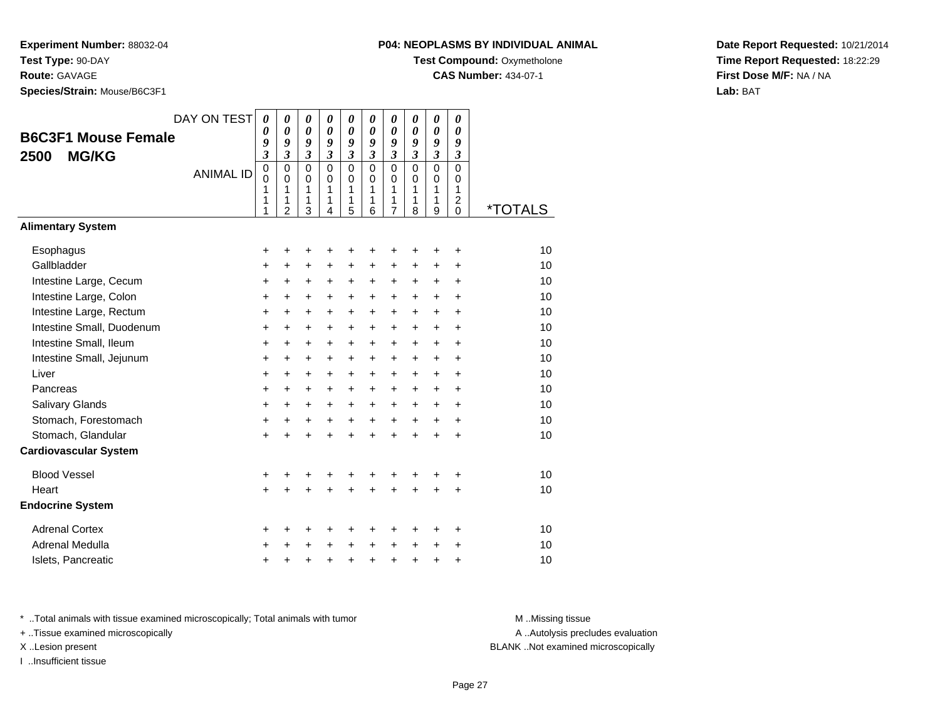**Species/Strain:** Mouse/B6C3F1

### **P04: NEOPLASMS BY INDIVIDUAL ANIMAL**

**Test Compound: Oxymetholone** 

**CAS Number:** 434-07-1

**Date Report Requested:** 10/21/2014**Time Report Requested:** 18:22:29**First Dose M/F:** NA / NA**Lab:** BAT

|                              | DAY ON TEST      | $\boldsymbol{\theta}$        | 0                            | $\boldsymbol{\theta}$ | $\boldsymbol{\theta}$ | 0                     | 0                   | 0                                | $\boldsymbol{\theta}$ | $\pmb{\theta}$               | 0                                       |                       |
|------------------------------|------------------|------------------------------|------------------------------|-----------------------|-----------------------|-----------------------|---------------------|----------------------------------|-----------------------|------------------------------|-----------------------------------------|-----------------------|
| <b>B6C3F1 Mouse Female</b>   |                  | 0                            | $\boldsymbol{\theta}$        | $\boldsymbol{\theta}$ | $\boldsymbol{\theta}$ | $\boldsymbol{\theta}$ | 0                   | $\theta$                         | 0                     | $\boldsymbol{\theta}$        | 0                                       |                       |
| <b>MG/KG</b><br>2500         |                  | 9<br>$\overline{\mathbf{3}}$ | 9<br>$\overline{\mathbf{3}}$ | 9<br>$\mathfrak{z}$   | 9<br>$\mathfrak{z}$   | 9<br>$\mathfrak{z}$   | 9<br>$\mathfrak{z}$ | 9<br>$\boldsymbol{\mathfrak{z}}$ | 9<br>$\mathfrak{z}$   | 9<br>$\overline{\mathbf{3}}$ | 9<br>$\boldsymbol{\beta}$               |                       |
|                              |                  | $\pmb{0}$                    | 0                            | $\mathbf 0$           | $\mathbf 0$           | $\mathbf 0$           | $\mathbf 0$         | $\mathbf 0$                      | $\mathbf 0$           | $\mathbf 0$                  | $\mathbf 0$                             |                       |
|                              | <b>ANIMAL ID</b> | 0                            | $\mathbf 0$                  | $\mathbf 0$           | 0                     | $\mathbf 0$           | $\mathbf 0$         | $\mathbf 0$                      | $\mathbf 0$           | $\mathbf 0$                  | 0                                       |                       |
|                              |                  | 1<br>1                       | 1<br>1                       | $\mathbf{1}$<br>1     | $\mathbf{1}$<br>1     | $\mathbf{1}$<br>1     | 1<br>1              | 1<br>1                           | 1<br>1                | 1<br>1                       | $\mathbf{1}$<br>$\overline{\mathbf{c}}$ |                       |
|                              |                  | 1                            | $\overline{2}$               | 3                     | 4                     | 5                     | 6                   | $\overline{7}$                   | 8                     | 9                            | $\mathbf 0$                             | <i><b>*TOTALS</b></i> |
| <b>Alimentary System</b>     |                  |                              |                              |                       |                       |                       |                     |                                  |                       |                              |                                         |                       |
| Esophagus                    |                  | +                            | +                            | +                     | +                     | +                     | +                   | +                                | +                     | +                            | +                                       | 10                    |
| Gallbladder                  |                  | $\ddot{}$                    | $\ddot{}$                    | $\ddot{}$             | $\ddot{}$             | $\ddot{}$             | $\ddot{}$           | $\ddot{}$                        | $\ddot{}$             | $\ddot{}$                    | $\ddot{}$                               | 10                    |
| Intestine Large, Cecum       |                  | +                            | +                            | $\ddot{}$             | +                     | +                     | +                   | +                                | $\ddot{}$             | +                            | +                                       | 10                    |
| Intestine Large, Colon       |                  | $\ddot{}$                    | +                            | $\ddot{}$             | $\ddot{}$             | $\ddot{}$             | $\ddot{}$           | $\ddot{}$                        | $\ddot{}$             | $\ddot{}$                    | $\ddot{}$                               | 10                    |
| Intestine Large, Rectum      |                  | +                            | $\ddot{}$                    | $\ddot{}$             | $\ddot{}$             | $+$                   | $+$                 | $\ddot{}$                        | $+$                   | $+$                          | $\ddot{}$                               | 10                    |
| Intestine Small, Duodenum    |                  | $\ddot{}$                    | +                            | $\ddot{}$             | $\ddot{}$             | $\ddot{}$             | $+$                 | $\ddot{}$                        | $\ddot{}$             | $\ddot{}$                    | $\ddot{}$                               | 10                    |
| Intestine Small, Ileum       |                  | $\ddot{}$                    | $\ddot{}$                    | $\ddot{}$             | $\ddot{}$             | $\ddot{}$             | $\ddot{}$           | $\ddot{}$                        | $\ddot{}$             | $\ddot{}$                    | $\ddot{}$                               | 10                    |
| Intestine Small, Jejunum     |                  | +                            | +                            | $\ddot{}$             | $\ddot{}$             | $\ddot{}$             | +                   | +                                | $\ddot{}$             | $\ddot{}$                    | +                                       | 10                    |
| Liver                        |                  | $\ddot{}$                    | $\ddot{}$                    | $\ddot{}$             | $\ddot{}$             | $\ddot{}$             | $\ddot{}$           | +                                | $\ddot{}$             | $\ddot{}$                    | $\ddot{}$                               | 10                    |
| Pancreas                     |                  | $\ddot{}$                    | $\ddot{}$                    | $\ddot{}$             | $\ddot{}$             | $\ddot{}$             | $\ddot{}$           | $\ddot{}$                        | $\ddot{}$             | $\ddot{}$                    | $\ddot{}$                               | 10                    |
| Salivary Glands              |                  | +                            | $\ddot{}$                    | $\ddot{}$             | $\ddot{}$             | $\ddot{}$             | $\ddot{}$           | $\ddot{}$                        | $\ddot{}$             | $\ddot{}$                    | $\ddot{}$                               | 10                    |
| Stomach, Forestomach         |                  | +                            | +                            | +                     | +                     | +                     | $\ddot{}$           | $\ddot{}$                        | $\ddot{}$             | +                            | +                                       | 10                    |
| Stomach, Glandular           |                  | $\ddot{}$                    | $\ddot{}$                    | $\ddot{}$             | $\ddot{}$             | $\ddot{}$             | $\ddot{}$           | $\ddot{}$                        | $\ddot{}$             | $\ddot{}$                    | $\ddot{}$                               | 10                    |
| <b>Cardiovascular System</b> |                  |                              |                              |                       |                       |                       |                     |                                  |                       |                              |                                         |                       |
| <b>Blood Vessel</b>          |                  | +                            | +                            | +                     |                       | +                     | +                   | +                                |                       |                              | ٠                                       | 10                    |
| Heart                        |                  | $\ddot{}$                    | $\ddot{}$                    | $\ddot{}$             |                       | $\ddot{}$             | $\ddot{}$           | $\ddot{}$                        | $\ddot{}$             | $\ddot{}$                    | $\ddot{}$                               | 10                    |
| <b>Endocrine System</b>      |                  |                              |                              |                       |                       |                       |                     |                                  |                       |                              |                                         |                       |
| <b>Adrenal Cortex</b>        |                  | +                            | +                            | +                     | +                     | +                     | +                   | +                                | ٠                     | +                            | +                                       | 10                    |
| Adrenal Medulla              |                  | +                            | +                            | +                     | $\ddot{}$             | $\ddot{}$             | $\ddot{}$           | +                                | $\ddot{}$             | +                            | +                                       | 10                    |
| Islets, Pancreatic           |                  | +                            | +                            | +                     | $\ddot{}$             | $\ddot{}$             | $\ddot{}$           | +                                | +                     | +                            | +                                       | 10                    |

\* ..Total animals with tissue examined microscopically; Total animals with tumor **M** . Missing tissue M ..Missing tissue

+ ..Tissue examined microscopically

I ..Insufficient tissue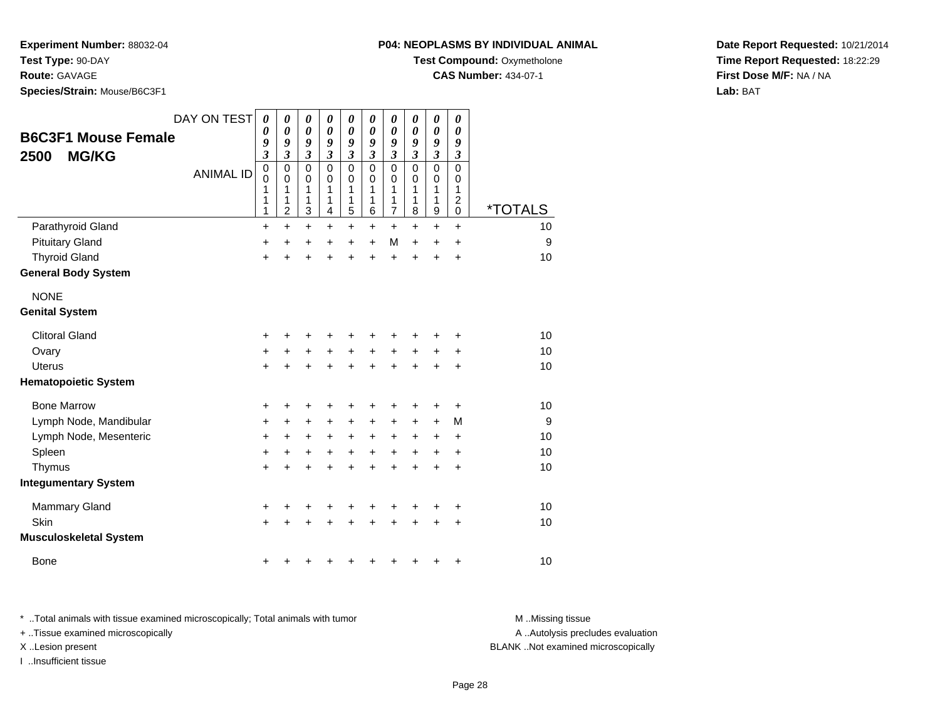**Route:** GAVAGE

**Species/Strain:** Mouse/B6C3F1

### **P04: NEOPLASMS BY INDIVIDUAL ANIMAL**

**Test Compound:** Oxymetholone

**CAS Number:** 434-07-1

**Date Report Requested:** 10/21/2014**Time Report Requested:** 18:22:29**First Dose M/F:** NA / NA**Lab:** BAT

| <b>B6C3F1 Mouse Female</b><br><b>MG/KG</b><br>2500 | DAY ON TEST<br><b>ANIMAL ID</b> | 0<br>0<br>9<br>$\mathfrak{z}$<br>$\mathbf 0$<br>$\mathbf 0$<br>1<br>1<br>1 | 0<br>$\theta$<br>9<br>$\mathfrak{z}$<br>$\mathbf 0$<br>$\mathbf 0$<br>1<br>1<br>$\overline{c}$ | 0<br>0<br>9<br>$\boldsymbol{\beta}$<br>$\mathbf 0$<br>$\mathbf 0$<br>1<br>1<br>3 | 0<br>$\boldsymbol{\theta}$<br>9<br>3<br>$\mathbf 0$<br>0<br>1<br>1<br>4 | 0<br>$\boldsymbol{\theta}$<br>9<br>$\boldsymbol{\mathfrak{z}}$<br>$\mathbf 0$<br>$\pmb{0}$<br>1<br>1<br>$\overline{5}$ | 0<br>0<br>9<br>3<br>$\mathbf 0$<br>$\mathbf 0$<br>1<br>1<br>6 | 0<br>0<br>9<br>$\boldsymbol{\mathfrak{z}}$<br>$\mathbf 0$<br>0<br>1<br>1<br>$\overline{7}$ | 0<br>0<br>9<br>3<br>0<br>0<br>1<br>1<br>8 | 0<br>0<br>9<br>$\boldsymbol{\mathfrak{z}}$<br>$\mathbf 0$<br>0<br>1<br>1<br>$\boldsymbol{9}$ | 0<br>0<br>9<br>3<br>$\mathbf 0$<br>0<br>1<br>$\overline{c}$<br>$\mathbf 0$ | <i><b>*TOTALS</b></i> |
|----------------------------------------------------|---------------------------------|----------------------------------------------------------------------------|------------------------------------------------------------------------------------------------|----------------------------------------------------------------------------------|-------------------------------------------------------------------------|------------------------------------------------------------------------------------------------------------------------|---------------------------------------------------------------|--------------------------------------------------------------------------------------------|-------------------------------------------|----------------------------------------------------------------------------------------------|----------------------------------------------------------------------------|-----------------------|
| Parathyroid Gland                                  |                                 | $\ddot{}$                                                                  | $\ddot{}$                                                                                      | $+$                                                                              | $\ddot{}$                                                               | $+$                                                                                                                    | $\ddot{}$                                                     | $+$                                                                                        | $\ddot{}$                                 | $\ddot{}$                                                                                    | $\ddot{}$                                                                  | 10                    |
| <b>Pituitary Gland</b>                             |                                 | +                                                                          | $\ddot{}$                                                                                      | +                                                                                | +                                                                       | $\ddot{}$                                                                                                              | $\ddot{}$                                                     | M                                                                                          | $\ddot{}$                                 | $\ddot{}$                                                                                    | +                                                                          | 9                     |
| <b>Thyroid Gland</b><br><b>General Body System</b> |                                 | $\ddot{}$                                                                  | $\ddot{}$                                                                                      | $\ddot{}$                                                                        | $\ddot{}$                                                               | $\ddot{}$                                                                                                              | $\ddot{}$                                                     | $\ddot{}$                                                                                  | $\ddot{}$                                 | $\ddot{}$                                                                                    | +                                                                          | 10                    |
| <b>NONE</b><br><b>Genital System</b>               |                                 |                                                                            |                                                                                                |                                                                                  |                                                                         |                                                                                                                        |                                                               |                                                                                            |                                           |                                                                                              |                                                                            |                       |
| <b>Clitoral Gland</b>                              |                                 | +                                                                          | +                                                                                              | +                                                                                | +                                                                       | +                                                                                                                      |                                                               |                                                                                            |                                           |                                                                                              | +                                                                          | 10                    |
| Ovary                                              |                                 | $\ddot{}$                                                                  | +                                                                                              | +                                                                                | +                                                                       | $\ddot{}$                                                                                                              | +                                                             | $\ddot{}$                                                                                  | +                                         | +                                                                                            | +                                                                          | 10                    |
| <b>Uterus</b>                                      |                                 | $\ddot{}$                                                                  | +                                                                                              | +                                                                                | +                                                                       | +                                                                                                                      | +                                                             | $\pm$                                                                                      | +                                         | +                                                                                            | +                                                                          | 10                    |
| <b>Hematopoietic System</b>                        |                                 |                                                                            |                                                                                                |                                                                                  |                                                                         |                                                                                                                        |                                                               |                                                                                            |                                           |                                                                                              |                                                                            |                       |
| <b>Bone Marrow</b>                                 |                                 | +                                                                          | +                                                                                              | +                                                                                | +                                                                       | +                                                                                                                      |                                                               | ٠                                                                                          | +                                         | +                                                                                            | +                                                                          | 10                    |
| Lymph Node, Mandibular                             |                                 | $\ddot{}$                                                                  | $\ddot{}$                                                                                      | +                                                                                | $\ddot{}$                                                               | $\ddot{}$                                                                                                              | $\ddot{}$                                                     | $\pm$                                                                                      | $\ddot{}$                                 | $\ddot{}$                                                                                    | M                                                                          | 9                     |
| Lymph Node, Mesenteric                             |                                 | $\ddot{}$                                                                  | +                                                                                              | +                                                                                | +                                                                       | +                                                                                                                      | +                                                             | $\ddot{}$                                                                                  | +                                         | +                                                                                            | +                                                                          | 10                    |
| Spleen                                             |                                 | $\ddot{}$                                                                  | +                                                                                              | +                                                                                | +                                                                       | +                                                                                                                      | +                                                             | $\ddot{}$                                                                                  | +                                         | +                                                                                            | +                                                                          | 10                    |
| Thymus                                             |                                 | +                                                                          | $\ddot{}$                                                                                      | $\ddot{}$                                                                        | +                                                                       | $\ddot{}$                                                                                                              | +                                                             | +                                                                                          | +                                         | $\ddot{}$                                                                                    | +                                                                          | 10                    |
| <b>Integumentary System</b>                        |                                 |                                                                            |                                                                                                |                                                                                  |                                                                         |                                                                                                                        |                                                               |                                                                                            |                                           |                                                                                              |                                                                            |                       |
| Mammary Gland                                      |                                 | +                                                                          | +                                                                                              | +                                                                                | +                                                                       | +                                                                                                                      |                                                               | +                                                                                          | +                                         | +                                                                                            | +                                                                          | 10                    |
| Skin                                               |                                 | ÷                                                                          |                                                                                                | $\ddot{}$                                                                        |                                                                         |                                                                                                                        |                                                               |                                                                                            |                                           | +                                                                                            | +                                                                          | 10                    |
| <b>Musculoskeletal System</b>                      |                                 |                                                                            |                                                                                                |                                                                                  |                                                                         |                                                                                                                        |                                                               |                                                                                            |                                           |                                                                                              |                                                                            |                       |
| <b>Bone</b>                                        |                                 | +                                                                          | +                                                                                              | +                                                                                |                                                                         |                                                                                                                        |                                                               |                                                                                            |                                           | +                                                                                            | +                                                                          | 10                    |

\* ..Total animals with tissue examined microscopically; Total animals with tumor **M** . Missing tissue M ..Missing tissue + ..Tissue examined microscopically

I ..Insufficient tissue